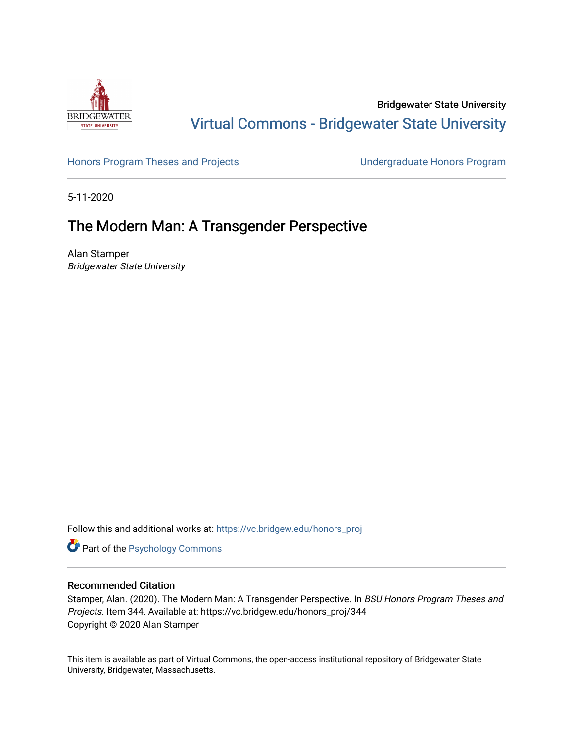

Bridgewater State University [Virtual Commons - Bridgewater State University](https://vc.bridgew.edu/) 

[Honors Program Theses and Projects](https://vc.bridgew.edu/honors_proj) [Undergraduate Honors Program](https://vc.bridgew.edu/honors) 

5-11-2020

# The Modern Man: A Transgender Perspective

Alan Stamper Bridgewater State University

Follow this and additional works at: [https://vc.bridgew.edu/honors\\_proj](https://vc.bridgew.edu/honors_proj?utm_source=vc.bridgew.edu%2Fhonors_proj%2F344&utm_medium=PDF&utm_campaign=PDFCoverPages)

Part of the [Psychology Commons](http://network.bepress.com/hgg/discipline/404?utm_source=vc.bridgew.edu%2Fhonors_proj%2F344&utm_medium=PDF&utm_campaign=PDFCoverPages) 

## Recommended Citation

Stamper, Alan. (2020). The Modern Man: A Transgender Perspective. In BSU Honors Program Theses and Projects. Item 344. Available at: https://vc.bridgew.edu/honors\_proj/344 Copyright © 2020 Alan Stamper

This item is available as part of Virtual Commons, the open-access institutional repository of Bridgewater State University, Bridgewater, Massachusetts.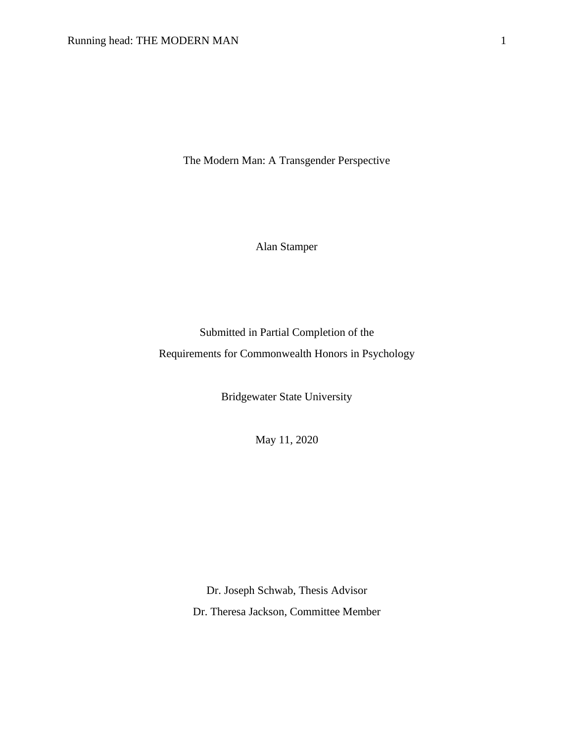The Modern Man: A Transgender Perspective

Alan Stamper

Submitted in Partial Completion of the Requirements for Commonwealth Honors in Psychology

Bridgewater State University

May 11, 2020

Dr. Joseph Schwab, Thesis Advisor Dr. Theresa Jackson, Committee Member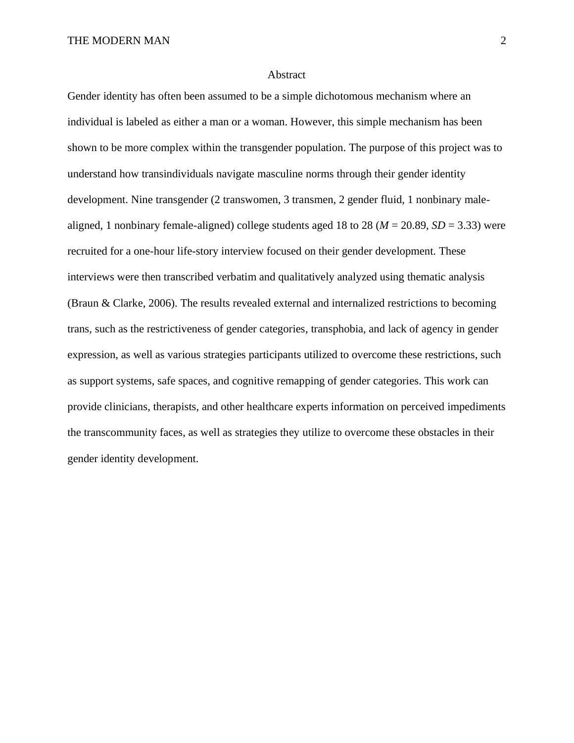#### Abstract

Gender identity has often been assumed to be a simple dichotomous mechanism where an individual is labeled as either a man or a woman. However, this simple mechanism has been shown to be more complex within the transgender population. The purpose of this project was to understand how transindividuals navigate masculine norms through their gender identity development. Nine transgender (2 transwomen, 3 transmen, 2 gender fluid, 1 nonbinary malealigned, 1 nonbinary female-aligned) college students aged 18 to 28 ( $M = 20.89$ ,  $SD = 3.33$ ) were recruited for a one-hour life-story interview focused on their gender development. These interviews were then transcribed verbatim and qualitatively analyzed using thematic analysis (Braun & Clarke, 2006). The results revealed external and internalized restrictions to becoming trans, such as the restrictiveness of gender categories, transphobia, and lack of agency in gender expression, as well as various strategies participants utilized to overcome these restrictions, such as support systems, safe spaces, and cognitive remapping of gender categories. This work can provide clinicians, therapists, and other healthcare experts information on perceived impediments the transcommunity faces, as well as strategies they utilize to overcome these obstacles in their gender identity development.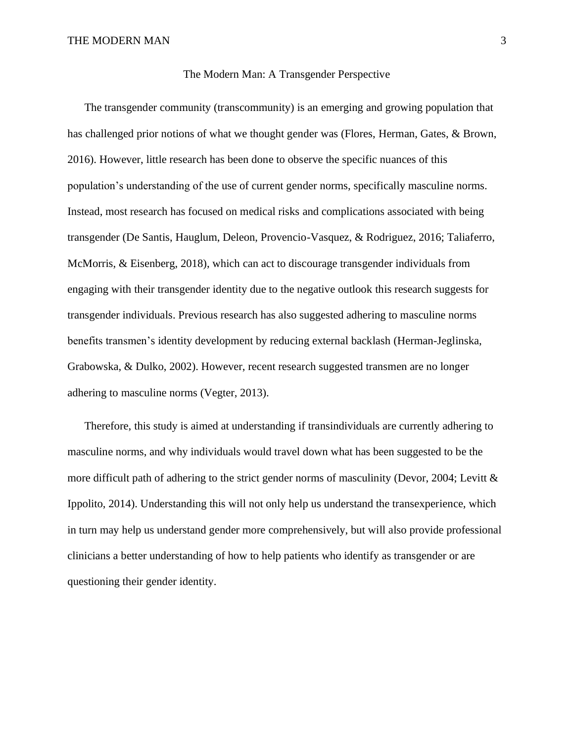## The Modern Man: A Transgender Perspective

The transgender community (transcommunity) is an emerging and growing population that has challenged prior notions of what we thought gender was (Flores, Herman, Gates, & Brown, 2016). However, little research has been done to observe the specific nuances of this population's understanding of the use of current gender norms, specifically masculine norms. Instead, most research has focused on medical risks and complications associated with being transgender (De Santis, Hauglum, Deleon, Provencio-Vasquez, & Rodriguez, 2016; Taliaferro, McMorris, & Eisenberg, 2018), which can act to discourage transgender individuals from engaging with their transgender identity due to the negative outlook this research suggests for transgender individuals. Previous research has also suggested adhering to masculine norms benefits transmen's identity development by reducing external backlash (Herman-Jeglinska, Grabowska, & Dulko, 2002). However, recent research suggested transmen are no longer adhering to masculine norms (Vegter, 2013).

Therefore, this study is aimed at understanding if transindividuals are currently adhering to masculine norms, and why individuals would travel down what has been suggested to be the more difficult path of adhering to the strict gender norms of masculinity (Devor, 2004; Levitt & Ippolito, 2014). Understanding this will not only help us understand the transexperience, which in turn may help us understand gender more comprehensively, but will also provide professional clinicians a better understanding of how to help patients who identify as transgender or are questioning their gender identity.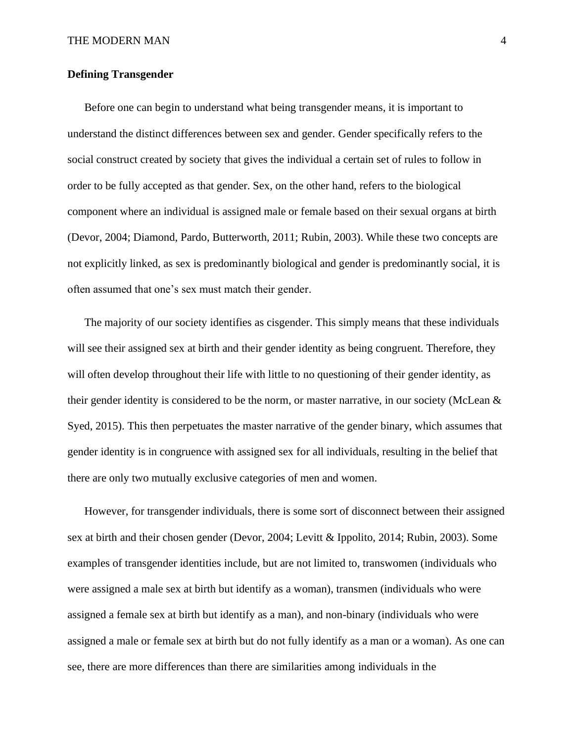## **Defining Transgender**

Before one can begin to understand what being transgender means, it is important to understand the distinct differences between sex and gender. Gender specifically refers to the social construct created by society that gives the individual a certain set of rules to follow in order to be fully accepted as that gender. Sex, on the other hand, refers to the biological component where an individual is assigned male or female based on their sexual organs at birth (Devor, 2004; Diamond, Pardo, Butterworth, 2011; Rubin, 2003). While these two concepts are not explicitly linked, as sex is predominantly biological and gender is predominantly social, it is often assumed that one's sex must match their gender.

The majority of our society identifies as cisgender. This simply means that these individuals will see their assigned sex at birth and their gender identity as being congruent. Therefore, they will often develop throughout their life with little to no questioning of their gender identity, as their gender identity is considered to be the norm, or master narrative, in our society (McLean & Syed, 2015). This then perpetuates the master narrative of the gender binary, which assumes that gender identity is in congruence with assigned sex for all individuals, resulting in the belief that there are only two mutually exclusive categories of men and women.

However, for transgender individuals, there is some sort of disconnect between their assigned sex at birth and their chosen gender (Devor, 2004; Levitt & Ippolito, 2014; Rubin, 2003). Some examples of transgender identities include, but are not limited to, transwomen (individuals who were assigned a male sex at birth but identify as a woman), transmen (individuals who were assigned a female sex at birth but identify as a man), and non-binary (individuals who were assigned a male or female sex at birth but do not fully identify as a man or a woman). As one can see, there are more differences than there are similarities among individuals in the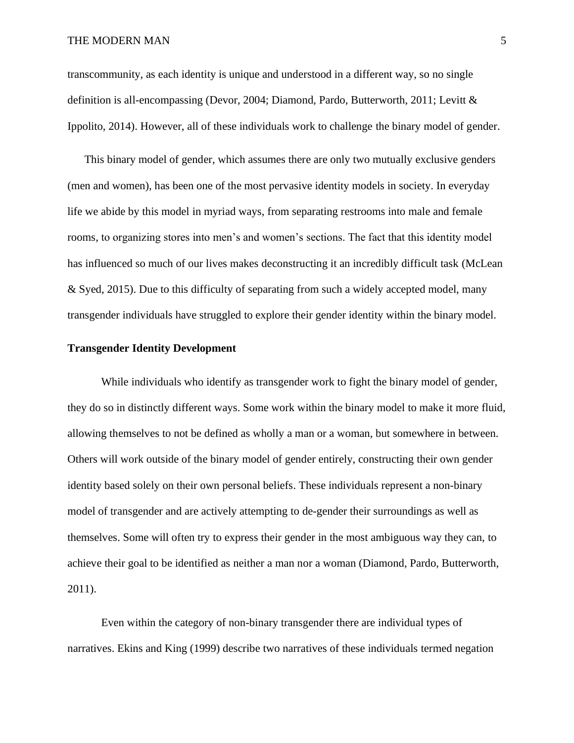transcommunity, as each identity is unique and understood in a different way, so no single definition is all-encompassing (Devor, 2004; Diamond, Pardo, Butterworth, 2011; Levitt & Ippolito, 2014). However, all of these individuals work to challenge the binary model of gender.

This binary model of gender, which assumes there are only two mutually exclusive genders (men and women), has been one of the most pervasive identity models in society. In everyday life we abide by this model in myriad ways, from separating restrooms into male and female rooms, to organizing stores into men's and women's sections. The fact that this identity model has influenced so much of our lives makes deconstructing it an incredibly difficult task (McLean & Syed, 2015). Due to this difficulty of separating from such a widely accepted model, many transgender individuals have struggled to explore their gender identity within the binary model.

## **Transgender Identity Development**

While individuals who identify as transgender work to fight the binary model of gender, they do so in distinctly different ways. Some work within the binary model to make it more fluid, allowing themselves to not be defined as wholly a man or a woman, but somewhere in between. Others will work outside of the binary model of gender entirely, constructing their own gender identity based solely on their own personal beliefs. These individuals represent a non-binary model of transgender and are actively attempting to de-gender their surroundings as well as themselves. Some will often try to express their gender in the most ambiguous way they can, to achieve their goal to be identified as neither a man nor a woman (Diamond, Pardo, Butterworth, 2011).

Even within the category of non-binary transgender there are individual types of narratives. Ekins and King (1999) describe two narratives of these individuals termed negation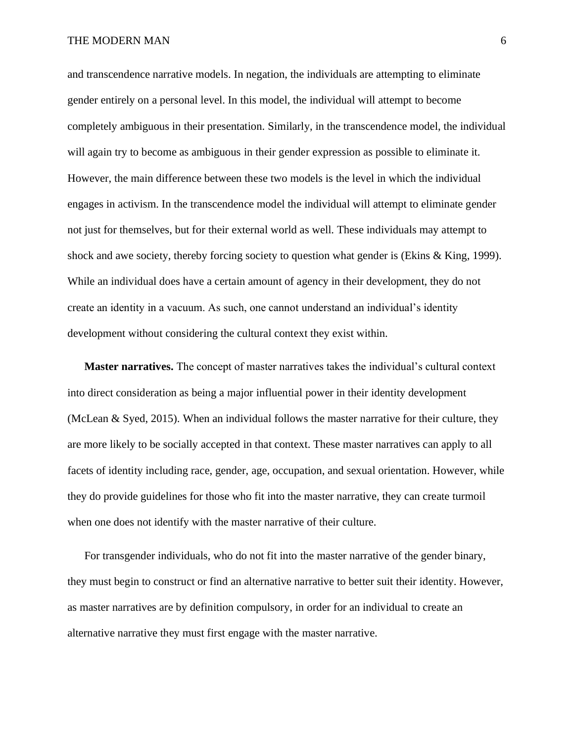and transcendence narrative models. In negation, the individuals are attempting to eliminate gender entirely on a personal level. In this model, the individual will attempt to become completely ambiguous in their presentation. Similarly, in the transcendence model, the individual will again try to become as ambiguous in their gender expression as possible to eliminate it. However, the main difference between these two models is the level in which the individual engages in activism. In the transcendence model the individual will attempt to eliminate gender not just for themselves, but for their external world as well. These individuals may attempt to shock and awe society, thereby forcing society to question what gender is (Ekins & King, 1999). While an individual does have a certain amount of agency in their development, they do not create an identity in a vacuum. As such, one cannot understand an individual's identity development without considering the cultural context they exist within.

**Master narratives.** The concept of master narratives takes the individual's cultural context into direct consideration as being a major influential power in their identity development (McLean & Syed, 2015). When an individual follows the master narrative for their culture, they are more likely to be socially accepted in that context. These master narratives can apply to all facets of identity including race, gender, age, occupation, and sexual orientation. However, while they do provide guidelines for those who fit into the master narrative, they can create turmoil when one does not identify with the master narrative of their culture.

For transgender individuals, who do not fit into the master narrative of the gender binary, they must begin to construct or find an alternative narrative to better suit their identity. However, as master narratives are by definition compulsory, in order for an individual to create an alternative narrative they must first engage with the master narrative.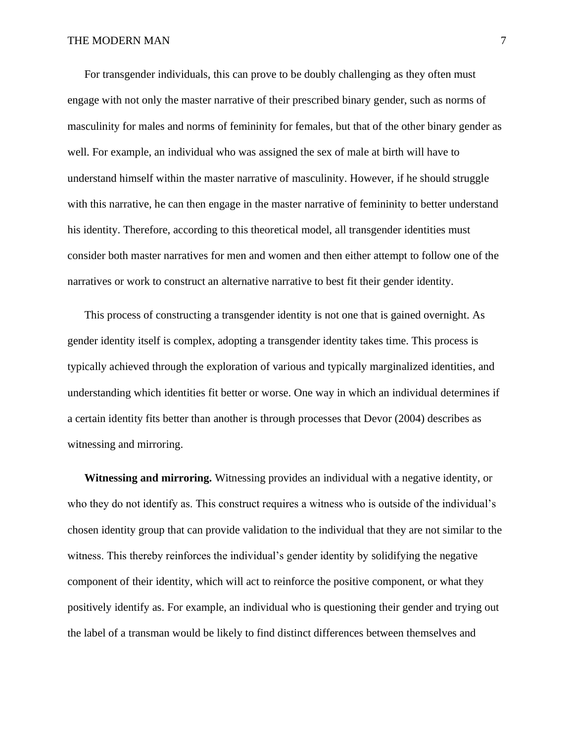For transgender individuals, this can prove to be doubly challenging as they often must engage with not only the master narrative of their prescribed binary gender, such as norms of masculinity for males and norms of femininity for females, but that of the other binary gender as well. For example, an individual who was assigned the sex of male at birth will have to understand himself within the master narrative of masculinity. However, if he should struggle with this narrative, he can then engage in the master narrative of femininity to better understand his identity. Therefore, according to this theoretical model, all transgender identities must consider both master narratives for men and women and then either attempt to follow one of the narratives or work to construct an alternative narrative to best fit their gender identity.

This process of constructing a transgender identity is not one that is gained overnight. As gender identity itself is complex, adopting a transgender identity takes time. This process is typically achieved through the exploration of various and typically marginalized identities, and understanding which identities fit better or worse. One way in which an individual determines if a certain identity fits better than another is through processes that Devor (2004) describes as witnessing and mirroring.

**Witnessing and mirroring.** Witnessing provides an individual with a negative identity, or who they do not identify as. This construct requires a witness who is outside of the individual's chosen identity group that can provide validation to the individual that they are not similar to the witness. This thereby reinforces the individual's gender identity by solidifying the negative component of their identity, which will act to reinforce the positive component, or what they positively identify as. For example, an individual who is questioning their gender and trying out the label of a transman would be likely to find distinct differences between themselves and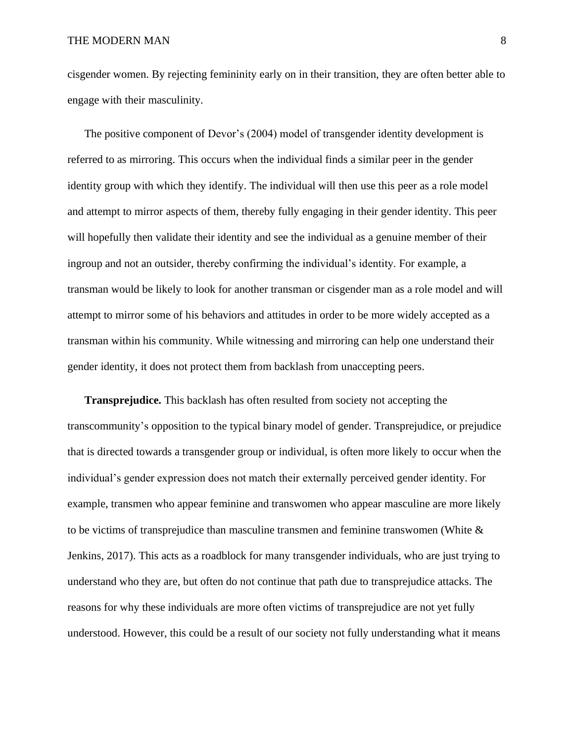cisgender women. By rejecting femininity early on in their transition, they are often better able to engage with their masculinity.

The positive component of Devor's (2004) model of transgender identity development is referred to as mirroring. This occurs when the individual finds a similar peer in the gender identity group with which they identify. The individual will then use this peer as a role model and attempt to mirror aspects of them, thereby fully engaging in their gender identity. This peer will hopefully then validate their identity and see the individual as a genuine member of their ingroup and not an outsider, thereby confirming the individual's identity. For example, a transman would be likely to look for another transman or cisgender man as a role model and will attempt to mirror some of his behaviors and attitudes in order to be more widely accepted as a transman within his community. While witnessing and mirroring can help one understand their gender identity, it does not protect them from backlash from unaccepting peers.

**Transprejudice.** This backlash has often resulted from society not accepting the transcommunity's opposition to the typical binary model of gender. Transprejudice, or prejudice that is directed towards a transgender group or individual, is often more likely to occur when the individual's gender expression does not match their externally perceived gender identity. For example, transmen who appear feminine and transwomen who appear masculine are more likely to be victims of transprejudice than masculine transmen and feminine transwomen (White  $\&$ Jenkins, 2017). This acts as a roadblock for many transgender individuals, who are just trying to understand who they are, but often do not continue that path due to transprejudice attacks. The reasons for why these individuals are more often victims of transprejudice are not yet fully understood. However, this could be a result of our society not fully understanding what it means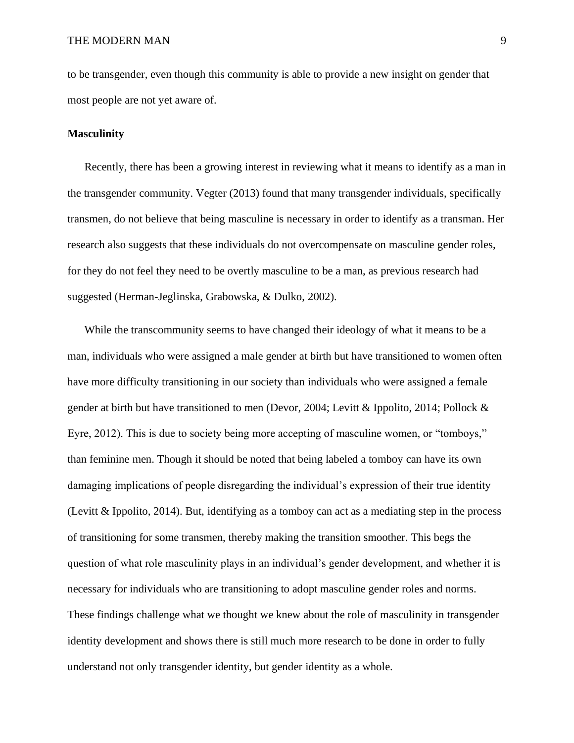to be transgender, even though this community is able to provide a new insight on gender that most people are not yet aware of.

## **Masculinity**

Recently, there has been a growing interest in reviewing what it means to identify as a man in the transgender community. Vegter (2013) found that many transgender individuals, specifically transmen, do not believe that being masculine is necessary in order to identify as a transman. Her research also suggests that these individuals do not overcompensate on masculine gender roles, for they do not feel they need to be overtly masculine to be a man, as previous research had suggested (Herman-Jeglinska, Grabowska, & Dulko, 2002).

While the transcommunity seems to have changed their ideology of what it means to be a man, individuals who were assigned a male gender at birth but have transitioned to women often have more difficulty transitioning in our society than individuals who were assigned a female gender at birth but have transitioned to men (Devor, 2004; Levitt & Ippolito, 2014; Pollock & Eyre, 2012). This is due to society being more accepting of masculine women, or "tomboys," than feminine men. Though it should be noted that being labeled a tomboy can have its own damaging implications of people disregarding the individual's expression of their true identity (Levitt & Ippolito, 2014). But, identifying as a tomboy can act as a mediating step in the process of transitioning for some transmen, thereby making the transition smoother. This begs the question of what role masculinity plays in an individual's gender development, and whether it is necessary for individuals who are transitioning to adopt masculine gender roles and norms. These findings challenge what we thought we knew about the role of masculinity in transgender identity development and shows there is still much more research to be done in order to fully understand not only transgender identity, but gender identity as a whole.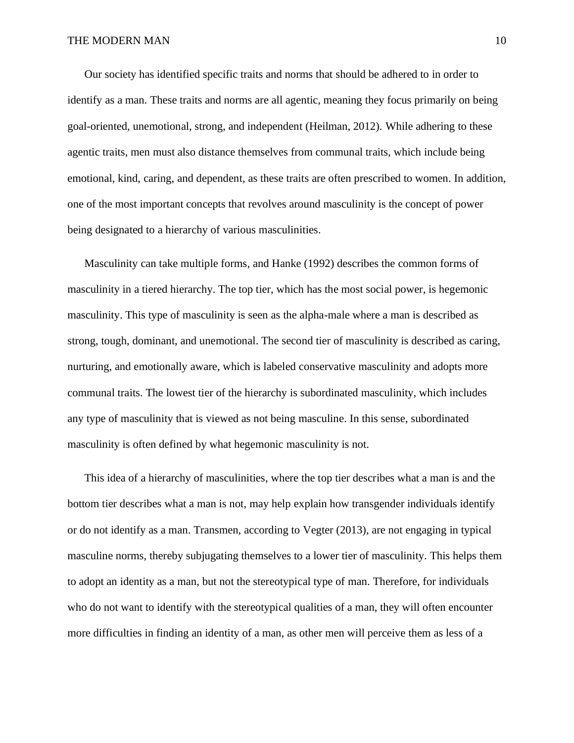Our society has identified specific traits and norms that should be adhered to in order to identify as a man. These traits and norms are all agentic, meaning they focus primarily on being goal-oriented, unemotional, strong, and independent (Heilman, 2012). While adhering to these agentic traits, men must also distance themselves from communal traits, which include being emotional, kind, caring, and dependent, as these traits are often prescribed to women. In addition, one of the most important concepts that revolves around masculinity is the concept of power being designated to a hierarchy of various masculinities.

Masculinity can take multiple forms, and Hanke (1992) describes the common forms of masculinity in a tiered hierarchy. The top tier, which has the most social power, is hegemonic masculinity. This type of masculinity is seen as the alpha-male where a man is described as strong, tough, dominant, and unemotional. The second tier of masculinity is described as caring, nurturing, and emotionally aware, which is labeled conservative masculinity and adopts more communal traits. The lowest tier of the hierarchy is subordinated masculinity, which includes any type of masculinity that is viewed as not being masculine. In this sense, subordinated masculinity is often defined by what hegemonic masculinity is not.

This idea of a hierarchy of masculinities, where the top tier describes what a man is and the bottom tier describes what a man is not, may help explain how transgender individuals identify or do not identify as a man. Transmen, according to Vegter (2013), are not engaging in typical masculine norms, thereby subjugating themselves to a lower tier of masculinity. This helps them to adopt an identity as a man, but not the stereotypical type of man. Therefore, for individuals who do not want to identify with the stereotypical qualities of a man, they will often encounter more difficulties in finding an identity of a man, as other men will perceive them as less of a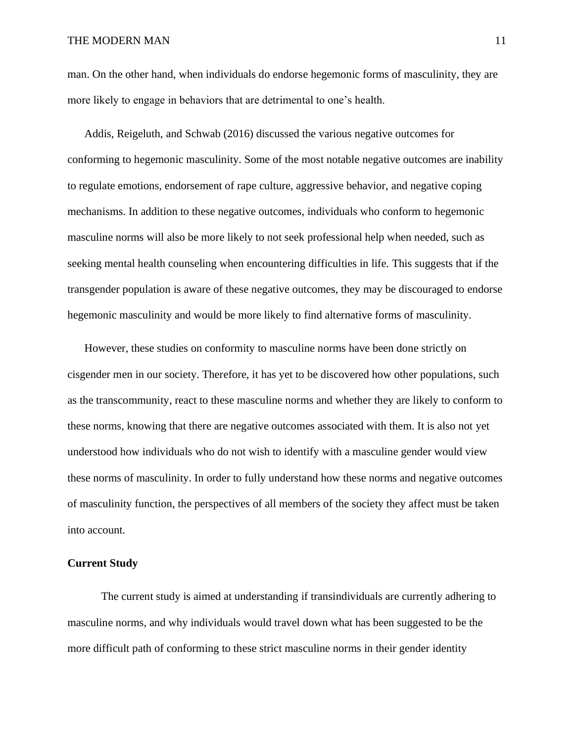man. On the other hand, when individuals do endorse hegemonic forms of masculinity, they are more likely to engage in behaviors that are detrimental to one's health.

Addis, Reigeluth, and Schwab (2016) discussed the various negative outcomes for conforming to hegemonic masculinity. Some of the most notable negative outcomes are inability to regulate emotions, endorsement of rape culture, aggressive behavior, and negative coping mechanisms. In addition to these negative outcomes, individuals who conform to hegemonic masculine norms will also be more likely to not seek professional help when needed, such as seeking mental health counseling when encountering difficulties in life. This suggests that if the transgender population is aware of these negative outcomes, they may be discouraged to endorse hegemonic masculinity and would be more likely to find alternative forms of masculinity.

However, these studies on conformity to masculine norms have been done strictly on cisgender men in our society. Therefore, it has yet to be discovered how other populations, such as the transcommunity, react to these masculine norms and whether they are likely to conform to these norms, knowing that there are negative outcomes associated with them. It is also not yet understood how individuals who do not wish to identify with a masculine gender would view these norms of masculinity. In order to fully understand how these norms and negative outcomes of masculinity function, the perspectives of all members of the society they affect must be taken into account.

## **Current Study**

The current study is aimed at understanding if transindividuals are currently adhering to masculine norms, and why individuals would travel down what has been suggested to be the more difficult path of conforming to these strict masculine norms in their gender identity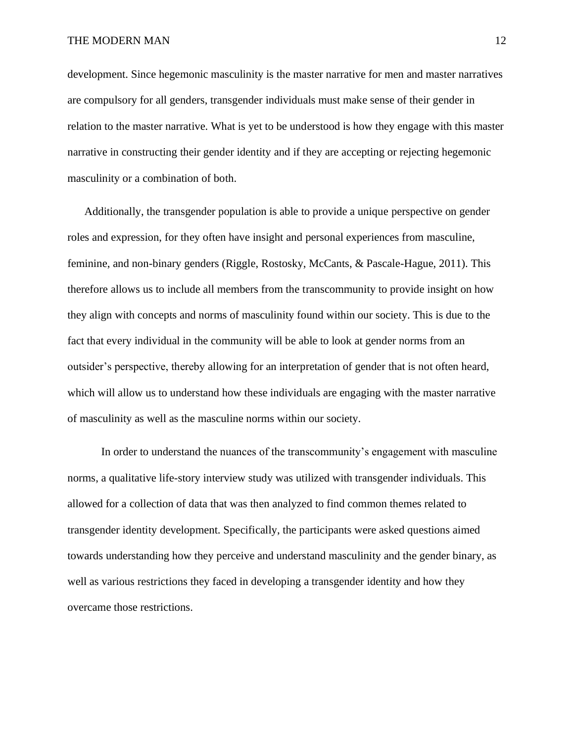development. Since hegemonic masculinity is the master narrative for men and master narratives are compulsory for all genders, transgender individuals must make sense of their gender in relation to the master narrative. What is yet to be understood is how they engage with this master narrative in constructing their gender identity and if they are accepting or rejecting hegemonic masculinity or a combination of both.

Additionally, the transgender population is able to provide a unique perspective on gender roles and expression, for they often have insight and personal experiences from masculine, feminine, and non-binary genders (Riggle, Rostosky, McCants, & Pascale-Hague, 2011). This therefore allows us to include all members from the transcommunity to provide insight on how they align with concepts and norms of masculinity found within our society. This is due to the fact that every individual in the community will be able to look at gender norms from an outsider's perspective, thereby allowing for an interpretation of gender that is not often heard, which will allow us to understand how these individuals are engaging with the master narrative of masculinity as well as the masculine norms within our society.

In order to understand the nuances of the transcommunity's engagement with masculine norms, a qualitative life-story interview study was utilized with transgender individuals. This allowed for a collection of data that was then analyzed to find common themes related to transgender identity development. Specifically, the participants were asked questions aimed towards understanding how they perceive and understand masculinity and the gender binary, as well as various restrictions they faced in developing a transgender identity and how they overcame those restrictions.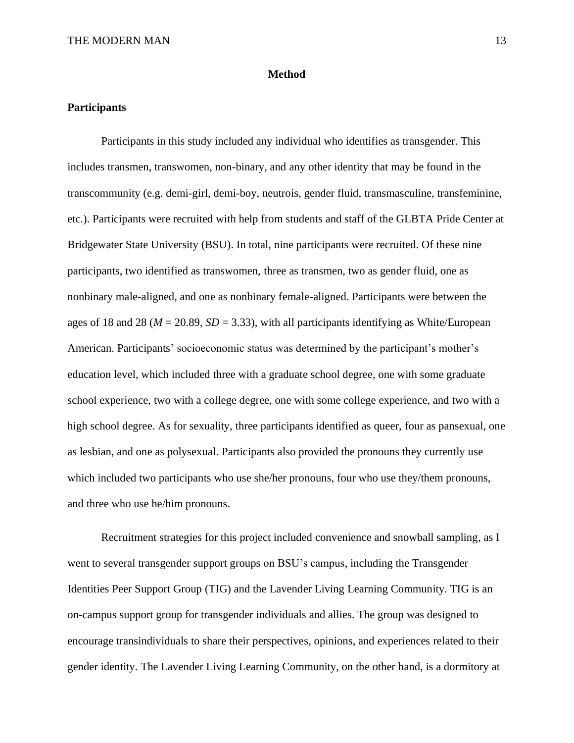## **Method**

## **Participants**

Participants in this study included any individual who identifies as transgender. This includes transmen, transwomen, non-binary, and any other identity that may be found in the transcommunity (e.g. demi-girl, demi-boy, neutrois, gender fluid, transmasculine, transfeminine, etc.). Participants were recruited with help from students and staff of the GLBTA Pride Center at Bridgewater State University (BSU). In total, nine participants were recruited. Of these nine participants, two identified as transwomen, three as transmen, two as gender fluid, one as nonbinary male-aligned, and one as nonbinary female-aligned. Participants were between the ages of 18 and 28 ( $M = 20.89$ ,  $SD = 3.33$ ), with all participants identifying as White/European American. Participants' socioeconomic status was determined by the participant's mother's education level, which included three with a graduate school degree, one with some graduate school experience, two with a college degree, one with some college experience, and two with a high school degree. As for sexuality, three participants identified as queer, four as pansexual, one as lesbian, and one as polysexual. Participants also provided the pronouns they currently use which included two participants who use she/her pronouns, four who use they/them pronouns, and three who use he/him pronouns.

Recruitment strategies for this project included convenience and snowball sampling, as I went to several transgender support groups on BSU's campus, including the Transgender Identities Peer Support Group (TIG) and the Lavender Living Learning Community. TIG is an on-campus support group for transgender individuals and allies. The group was designed to encourage transindividuals to share their perspectives, opinions, and experiences related to their gender identity. The Lavender Living Learning Community, on the other hand, is a dormitory at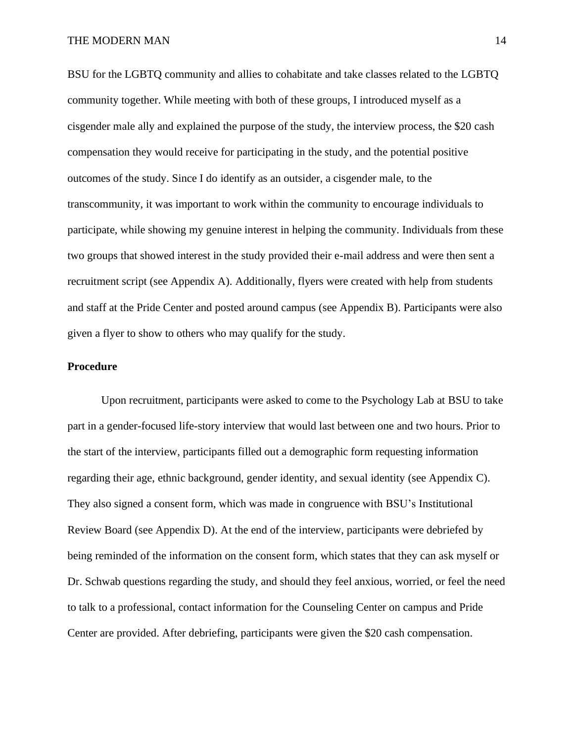BSU for the LGBTQ community and allies to cohabitate and take classes related to the LGBTQ community together. While meeting with both of these groups, I introduced myself as a cisgender male ally and explained the purpose of the study, the interview process, the \$20 cash compensation they would receive for participating in the study, and the potential positive outcomes of the study. Since I do identify as an outsider, a cisgender male, to the transcommunity, it was important to work within the community to encourage individuals to participate, while showing my genuine interest in helping the community. Individuals from these two groups that showed interest in the study provided their e-mail address and were then sent a recruitment script (see Appendix A). Additionally, flyers were created with help from students and staff at the Pride Center and posted around campus (see Appendix B). Participants were also given a flyer to show to others who may qualify for the study.

## **Procedure**

Upon recruitment, participants were asked to come to the Psychology Lab at BSU to take part in a gender-focused life-story interview that would last between one and two hours. Prior to the start of the interview, participants filled out a demographic form requesting information regarding their age, ethnic background, gender identity, and sexual identity (see Appendix C). They also signed a consent form, which was made in congruence with BSU's Institutional Review Board (see Appendix D). At the end of the interview, participants were debriefed by being reminded of the information on the consent form, which states that they can ask myself or Dr. Schwab questions regarding the study, and should they feel anxious, worried, or feel the need to talk to a professional, contact information for the Counseling Center on campus and Pride Center are provided. After debriefing, participants were given the \$20 cash compensation.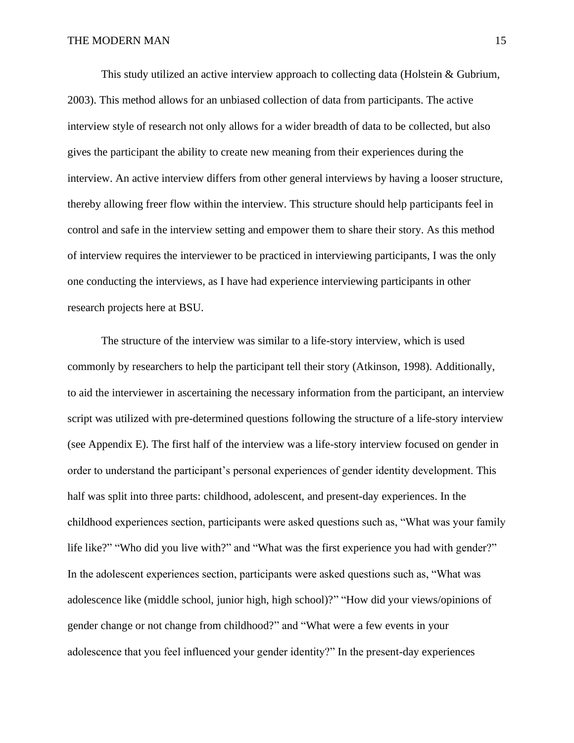This study utilized an active interview approach to collecting data (Holstein & Gubrium, 2003). This method allows for an unbiased collection of data from participants. The active interview style of research not only allows for a wider breadth of data to be collected, but also gives the participant the ability to create new meaning from their experiences during the interview. An active interview differs from other general interviews by having a looser structure, thereby allowing freer flow within the interview. This structure should help participants feel in control and safe in the interview setting and empower them to share their story. As this method of interview requires the interviewer to be practiced in interviewing participants, I was the only one conducting the interviews, as I have had experience interviewing participants in other research projects here at BSU.

The structure of the interview was similar to a life-story interview, which is used commonly by researchers to help the participant tell their story (Atkinson, 1998). Additionally, to aid the interviewer in ascertaining the necessary information from the participant, an interview script was utilized with pre-determined questions following the structure of a life-story interview (see Appendix E). The first half of the interview was a life-story interview focused on gender in order to understand the participant's personal experiences of gender identity development. This half was split into three parts: childhood, adolescent, and present-day experiences. In the childhood experiences section, participants were asked questions such as, "What was your family life like?" "Who did you live with?" and "What was the first experience you had with gender?" In the adolescent experiences section, participants were asked questions such as, "What was adolescence like (middle school, junior high, high school)?" "How did your views/opinions of gender change or not change from childhood?" and "What were a few events in your adolescence that you feel influenced your gender identity?" In the present-day experiences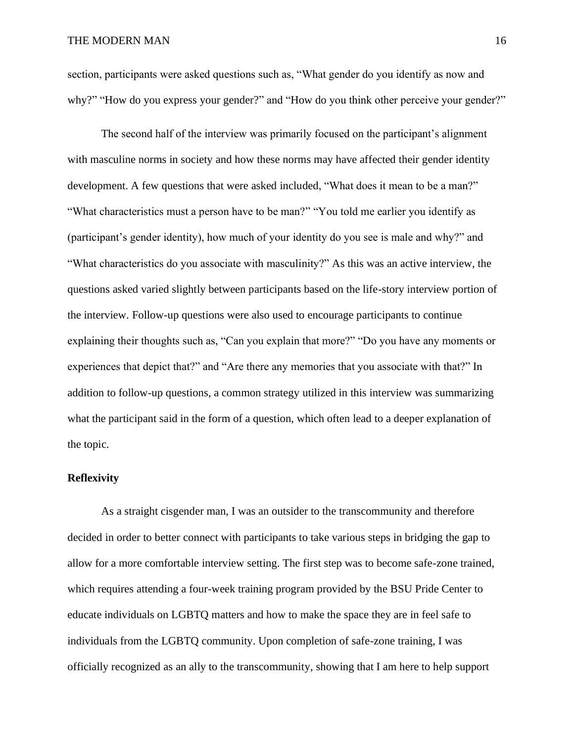section, participants were asked questions such as, "What gender do you identify as now and why?" "How do you express your gender?" and "How do you think other perceive your gender?"

The second half of the interview was primarily focused on the participant's alignment with masculine norms in society and how these norms may have affected their gender identity development. A few questions that were asked included, "What does it mean to be a man?" "What characteristics must a person have to be man?" "You told me earlier you identify as (participant's gender identity), how much of your identity do you see is male and why?" and "What characteristics do you associate with masculinity?" As this was an active interview, the questions asked varied slightly between participants based on the life-story interview portion of the interview. Follow-up questions were also used to encourage participants to continue explaining their thoughts such as, "Can you explain that more?" "Do you have any moments or experiences that depict that?" and "Are there any memories that you associate with that?" In addition to follow-up questions, a common strategy utilized in this interview was summarizing what the participant said in the form of a question, which often lead to a deeper explanation of the topic.

## **Reflexivity**

As a straight cisgender man, I was an outsider to the transcommunity and therefore decided in order to better connect with participants to take various steps in bridging the gap to allow for a more comfortable interview setting. The first step was to become safe-zone trained, which requires attending a four-week training program provided by the BSU Pride Center to educate individuals on LGBTQ matters and how to make the space they are in feel safe to individuals from the LGBTQ community. Upon completion of safe-zone training, I was officially recognized as an ally to the transcommunity, showing that I am here to help support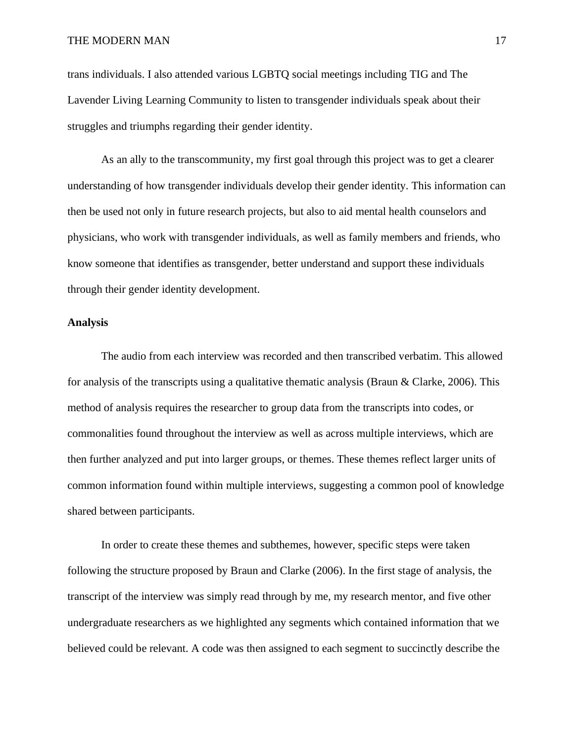trans individuals. I also attended various LGBTQ social meetings including TIG and The Lavender Living Learning Community to listen to transgender individuals speak about their struggles and triumphs regarding their gender identity.

As an ally to the transcommunity, my first goal through this project was to get a clearer understanding of how transgender individuals develop their gender identity. This information can then be used not only in future research projects, but also to aid mental health counselors and physicians, who work with transgender individuals, as well as family members and friends, who know someone that identifies as transgender, better understand and support these individuals through their gender identity development.

## **Analysis**

The audio from each interview was recorded and then transcribed verbatim. This allowed for analysis of the transcripts using a qualitative thematic analysis (Braun & Clarke, 2006). This method of analysis requires the researcher to group data from the transcripts into codes, or commonalities found throughout the interview as well as across multiple interviews, which are then further analyzed and put into larger groups, or themes. These themes reflect larger units of common information found within multiple interviews, suggesting a common pool of knowledge shared between participants.

In order to create these themes and subthemes, however, specific steps were taken following the structure proposed by Braun and Clarke (2006). In the first stage of analysis, the transcript of the interview was simply read through by me, my research mentor, and five other undergraduate researchers as we highlighted any segments which contained information that we believed could be relevant. A code was then assigned to each segment to succinctly describe the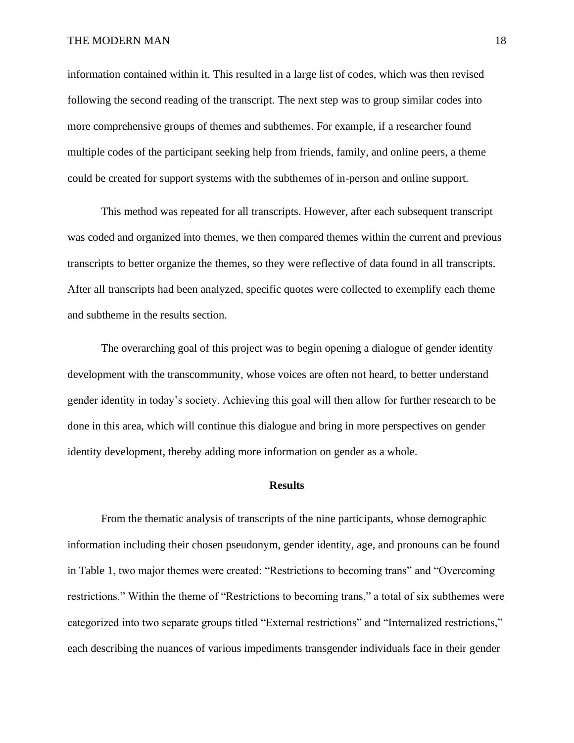information contained within it. This resulted in a large list of codes, which was then revised following the second reading of the transcript. The next step was to group similar codes into more comprehensive groups of themes and subthemes. For example, if a researcher found multiple codes of the participant seeking help from friends, family, and online peers, a theme could be created for support systems with the subthemes of in-person and online support.

This method was repeated for all transcripts. However, after each subsequent transcript was coded and organized into themes, we then compared themes within the current and previous transcripts to better organize the themes, so they were reflective of data found in all transcripts. After all transcripts had been analyzed, specific quotes were collected to exemplify each theme and subtheme in the results section.

The overarching goal of this project was to begin opening a dialogue of gender identity development with the transcommunity, whose voices are often not heard, to better understand gender identity in today's society. Achieving this goal will then allow for further research to be done in this area, which will continue this dialogue and bring in more perspectives on gender identity development, thereby adding more information on gender as a whole.

#### **Results**

From the thematic analysis of transcripts of the nine participants, whose demographic information including their chosen pseudonym, gender identity, age, and pronouns can be found in Table 1, two major themes were created: "Restrictions to becoming trans" and "Overcoming restrictions." Within the theme of "Restrictions to becoming trans," a total of six subthemes were categorized into two separate groups titled "External restrictions" and "Internalized restrictions," each describing the nuances of various impediments transgender individuals face in their gender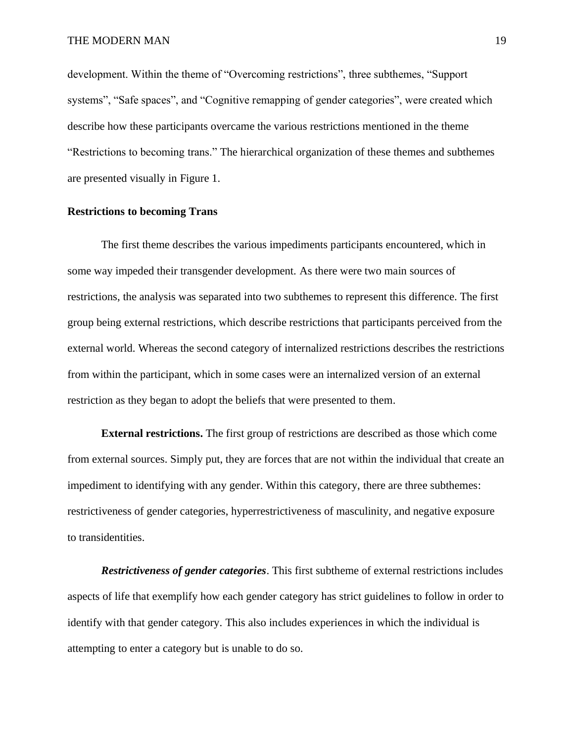development. Within the theme of "Overcoming restrictions", three subthemes, "Support systems", "Safe spaces", and "Cognitive remapping of gender categories", were created which describe how these participants overcame the various restrictions mentioned in the theme "Restrictions to becoming trans." The hierarchical organization of these themes and subthemes are presented visually in Figure 1.

## **Restrictions to becoming Trans**

The first theme describes the various impediments participants encountered, which in some way impeded their transgender development. As there were two main sources of restrictions, the analysis was separated into two subthemes to represent this difference. The first group being external restrictions, which describe restrictions that participants perceived from the external world. Whereas the second category of internalized restrictions describes the restrictions from within the participant, which in some cases were an internalized version of an external restriction as they began to adopt the beliefs that were presented to them.

**External restrictions.** The first group of restrictions are described as those which come from external sources. Simply put, they are forces that are not within the individual that create an impediment to identifying with any gender. Within this category, there are three subthemes: restrictiveness of gender categories, hyperrestrictiveness of masculinity, and negative exposure to transidentities.

*Restrictiveness of gender categories*. This first subtheme of external restrictions includes aspects of life that exemplify how each gender category has strict guidelines to follow in order to identify with that gender category. This also includes experiences in which the individual is attempting to enter a category but is unable to do so.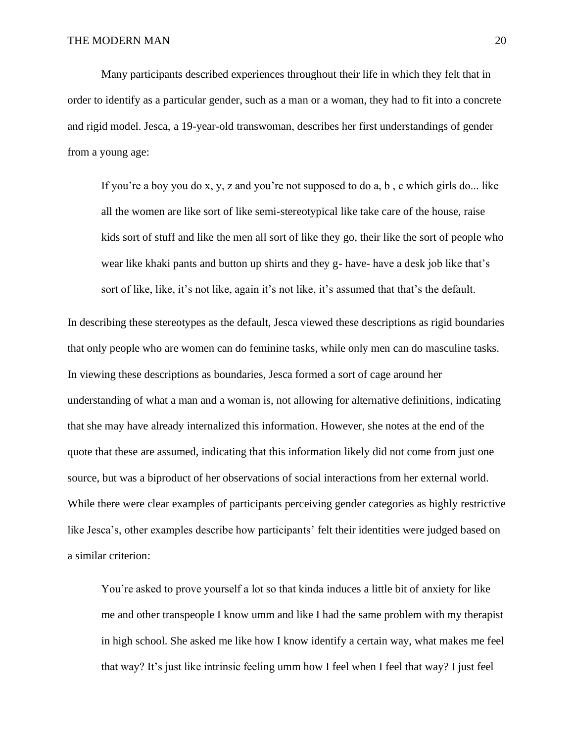Many participants described experiences throughout their life in which they felt that in order to identify as a particular gender, such as a man or a woman, they had to fit into a concrete and rigid model. Jesca, a 19-year-old transwoman, describes her first understandings of gender from a young age:

If you're a boy you do x, y, z and you're not supposed to do a, b , c which girls do... like all the women are like sort of like semi-stereotypical like take care of the house, raise kids sort of stuff and like the men all sort of like they go, their like the sort of people who wear like khaki pants and button up shirts and they g- have- have a desk job like that's sort of like, like, it's not like, again it's not like, it's assumed that that's the default.

In describing these stereotypes as the default, Jesca viewed these descriptions as rigid boundaries that only people who are women can do feminine tasks, while only men can do masculine tasks. In viewing these descriptions as boundaries, Jesca formed a sort of cage around her understanding of what a man and a woman is, not allowing for alternative definitions, indicating that she may have already internalized this information. However, she notes at the end of the quote that these are assumed, indicating that this information likely did not come from just one source, but was a biproduct of her observations of social interactions from her external world. While there were clear examples of participants perceiving gender categories as highly restrictive like Jesca's, other examples describe how participants' felt their identities were judged based on a similar criterion:

You're asked to prove yourself a lot so that kinda induces a little bit of anxiety for like me and other transpeople I know umm and like I had the same problem with my therapist in high school. She asked me like how I know identify a certain way, what makes me feel that way? It's just like intrinsic feeling umm how I feel when I feel that way? I just feel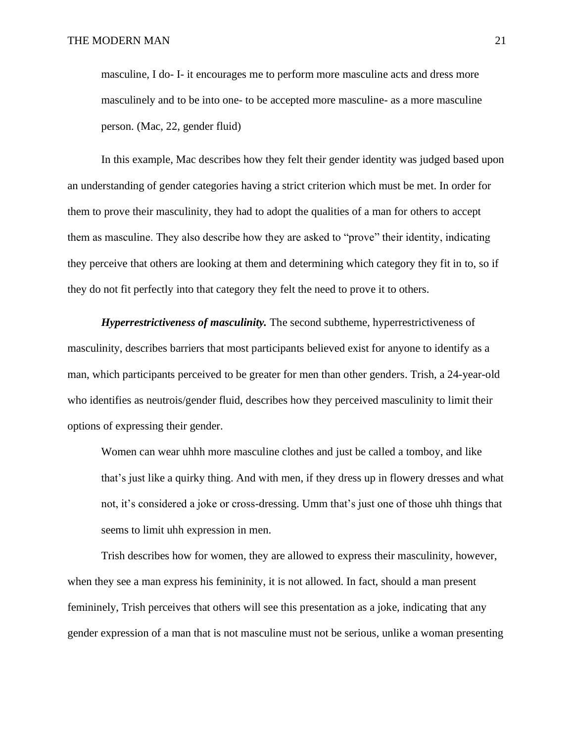masculine, I do- I- it encourages me to perform more masculine acts and dress more masculinely and to be into one- to be accepted more masculine- as a more masculine person. (Mac, 22, gender fluid)

In this example, Mac describes how they felt their gender identity was judged based upon an understanding of gender categories having a strict criterion which must be met. In order for them to prove their masculinity, they had to adopt the qualities of a man for others to accept them as masculine. They also describe how they are asked to "prove" their identity, indicating they perceive that others are looking at them and determining which category they fit in to, so if they do not fit perfectly into that category they felt the need to prove it to others.

*Hyperrestrictiveness of masculinity.* The second subtheme, hyperrestrictiveness of masculinity, describes barriers that most participants believed exist for anyone to identify as a man, which participants perceived to be greater for men than other genders. Trish, a 24-year-old who identifies as neutrois/gender fluid, describes how they perceived masculinity to limit their options of expressing their gender.

Women can wear uhhh more masculine clothes and just be called a tomboy, and like that's just like a quirky thing. And with men, if they dress up in flowery dresses and what not, it's considered a joke or cross-dressing. Umm that's just one of those uhh things that seems to limit uhh expression in men.

Trish describes how for women, they are allowed to express their masculinity, however, when they see a man express his femininity, it is not allowed. In fact, should a man present femininely, Trish perceives that others will see this presentation as a joke, indicating that any gender expression of a man that is not masculine must not be serious, unlike a woman presenting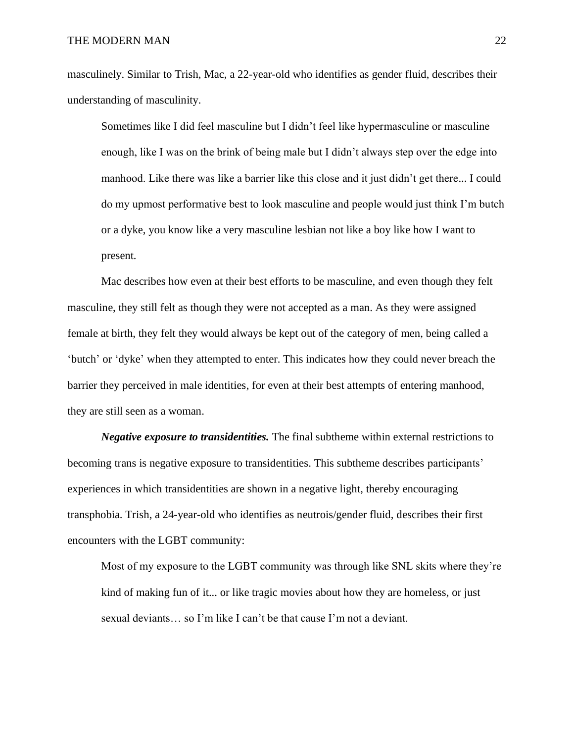masculinely. Similar to Trish, Mac, a 22-year-old who identifies as gender fluid, describes their understanding of masculinity.

Sometimes like I did feel masculine but I didn't feel like hypermasculine or masculine enough, like I was on the brink of being male but I didn't always step over the edge into manhood. Like there was like a barrier like this close and it just didn't get there... I could do my upmost performative best to look masculine and people would just think I'm butch or a dyke, you know like a very masculine lesbian not like a boy like how I want to present.

Mac describes how even at their best efforts to be masculine, and even though they felt masculine, they still felt as though they were not accepted as a man. As they were assigned female at birth, they felt they would always be kept out of the category of men, being called a 'butch' or 'dyke' when they attempted to enter. This indicates how they could never breach the barrier they perceived in male identities, for even at their best attempts of entering manhood, they are still seen as a woman.

*Negative exposure to transidentities.* The final subtheme within external restrictions to becoming trans is negative exposure to transidentities. This subtheme describes participants' experiences in which transidentities are shown in a negative light, thereby encouraging transphobia. Trish, a 24-year-old who identifies as neutrois/gender fluid, describes their first encounters with the LGBT community:

Most of my exposure to the LGBT community was through like SNL skits where they're kind of making fun of it... or like tragic movies about how they are homeless, or just sexual deviants… so I'm like I can't be that cause I'm not a deviant.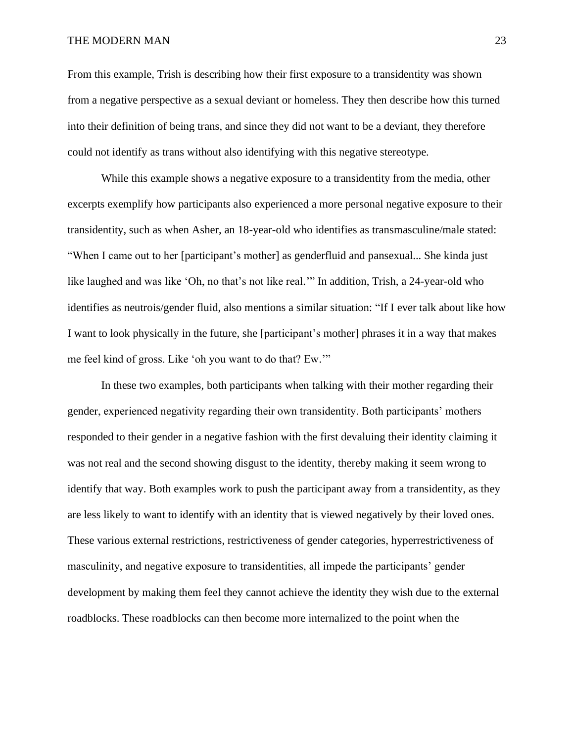From this example, Trish is describing how their first exposure to a transidentity was shown from a negative perspective as a sexual deviant or homeless. They then describe how this turned into their definition of being trans, and since they did not want to be a deviant, they therefore could not identify as trans without also identifying with this negative stereotype.

While this example shows a negative exposure to a transidentity from the media, other excerpts exemplify how participants also experienced a more personal negative exposure to their transidentity, such as when Asher, an 18-year-old who identifies as transmasculine/male stated: "When I came out to her [participant's mother] as genderfluid and pansexual... She kinda just like laughed and was like 'Oh, no that's not like real.'" In addition, Trish, a 24-year-old who identifies as neutrois/gender fluid, also mentions a similar situation: "If I ever talk about like how I want to look physically in the future, she [participant's mother] phrases it in a way that makes me feel kind of gross. Like 'oh you want to do that? Ew.'"

In these two examples, both participants when talking with their mother regarding their gender, experienced negativity regarding their own transidentity. Both participants' mothers responded to their gender in a negative fashion with the first devaluing their identity claiming it was not real and the second showing disgust to the identity, thereby making it seem wrong to identify that way. Both examples work to push the participant away from a transidentity, as they are less likely to want to identify with an identity that is viewed negatively by their loved ones. These various external restrictions, restrictiveness of gender categories, hyperrestrictiveness of masculinity, and negative exposure to transidentities, all impede the participants' gender development by making them feel they cannot achieve the identity they wish due to the external roadblocks. These roadblocks can then become more internalized to the point when the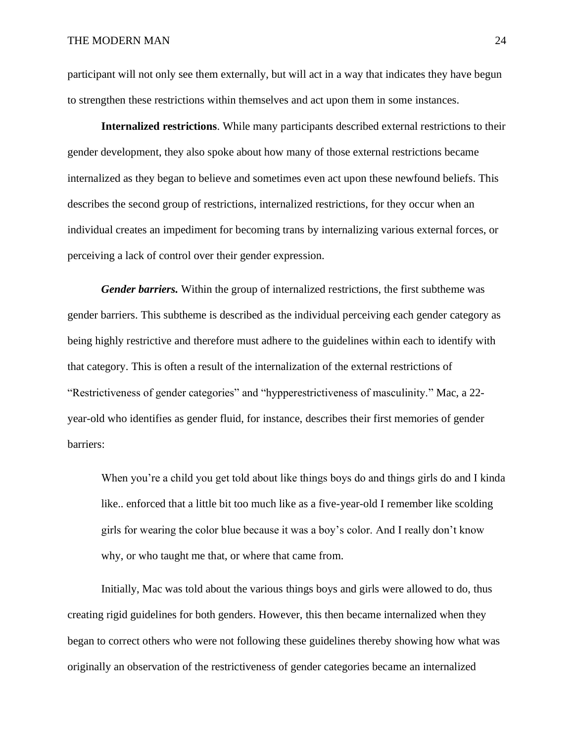participant will not only see them externally, but will act in a way that indicates they have begun to strengthen these restrictions within themselves and act upon them in some instances.

**Internalized restrictions**. While many participants described external restrictions to their gender development, they also spoke about how many of those external restrictions became internalized as they began to believe and sometimes even act upon these newfound beliefs. This describes the second group of restrictions, internalized restrictions, for they occur when an individual creates an impediment for becoming trans by internalizing various external forces, or perceiving a lack of control over their gender expression.

*Gender barriers.* Within the group of internalized restrictions, the first subtheme was gender barriers. This subtheme is described as the individual perceiving each gender category as being highly restrictive and therefore must adhere to the guidelines within each to identify with that category. This is often a result of the internalization of the external restrictions of "Restrictiveness of gender categories" and "hypperestrictiveness of masculinity." Mac, a 22 year-old who identifies as gender fluid, for instance, describes their first memories of gender barriers:

When you're a child you get told about like things boys do and things girls do and I kinda like.. enforced that a little bit too much like as a five-year-old I remember like scolding girls for wearing the color blue because it was a boy's color. And I really don't know why, or who taught me that, or where that came from.

Initially, Mac was told about the various things boys and girls were allowed to do, thus creating rigid guidelines for both genders. However, this then became internalized when they began to correct others who were not following these guidelines thereby showing how what was originally an observation of the restrictiveness of gender categories became an internalized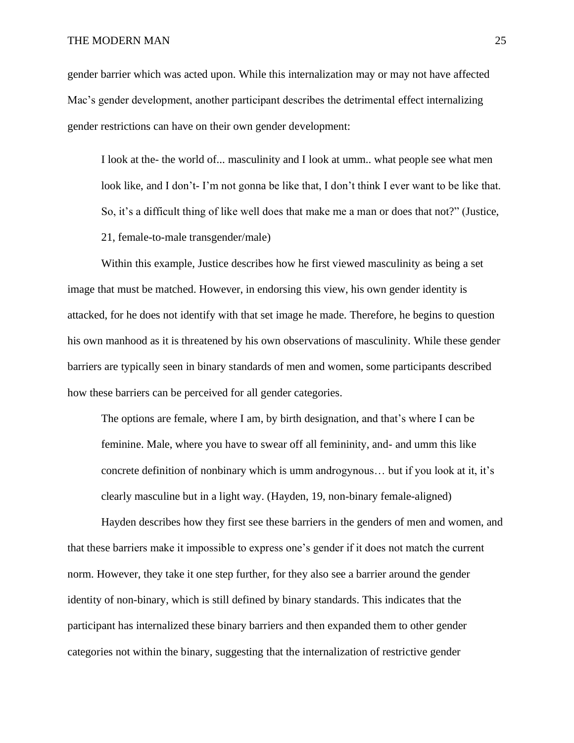gender barrier which was acted upon. While this internalization may or may not have affected Mac's gender development, another participant describes the detrimental effect internalizing gender restrictions can have on their own gender development:

I look at the- the world of... masculinity and I look at umm.. what people see what men look like, and I don't- I'm not gonna be like that, I don't think I ever want to be like that. So, it's a difficult thing of like well does that make me a man or does that not?" (Justice, 21, female-to-male transgender/male)

Within this example, Justice describes how he first viewed masculinity as being a set image that must be matched. However, in endorsing this view, his own gender identity is attacked, for he does not identify with that set image he made. Therefore, he begins to question his own manhood as it is threatened by his own observations of masculinity. While these gender barriers are typically seen in binary standards of men and women, some participants described how these barriers can be perceived for all gender categories.

The options are female, where I am, by birth designation, and that's where I can be feminine. Male, where you have to swear off all femininity, and- and umm this like concrete definition of nonbinary which is umm androgynous… but if you look at it, it's clearly masculine but in a light way. (Hayden, 19, non-binary female-aligned)

Hayden describes how they first see these barriers in the genders of men and women, and that these barriers make it impossible to express one's gender if it does not match the current norm. However, they take it one step further, for they also see a barrier around the gender identity of non-binary, which is still defined by binary standards. This indicates that the participant has internalized these binary barriers and then expanded them to other gender categories not within the binary, suggesting that the internalization of restrictive gender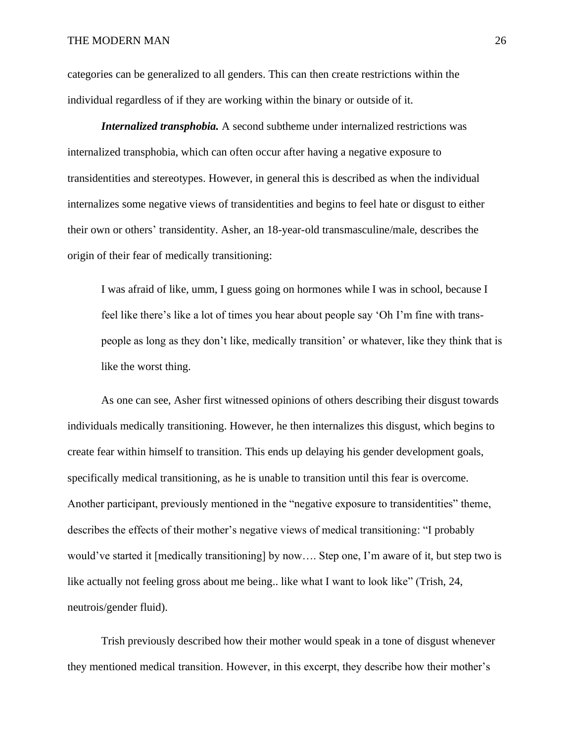categories can be generalized to all genders. This can then create restrictions within the individual regardless of if they are working within the binary or outside of it.

*Internalized transphobia.* A second subtheme under internalized restrictions was internalized transphobia, which can often occur after having a negative exposure to transidentities and stereotypes. However, in general this is described as when the individual internalizes some negative views of transidentities and begins to feel hate or disgust to either their own or others' transidentity. Asher, an 18-year-old transmasculine/male, describes the origin of their fear of medically transitioning:

I was afraid of like, umm, I guess going on hormones while I was in school, because I feel like there's like a lot of times you hear about people say 'Oh I'm fine with transpeople as long as they don't like, medically transition' or whatever, like they think that is like the worst thing.

As one can see, Asher first witnessed opinions of others describing their disgust towards individuals medically transitioning. However, he then internalizes this disgust, which begins to create fear within himself to transition. This ends up delaying his gender development goals, specifically medical transitioning, as he is unable to transition until this fear is overcome. Another participant, previously mentioned in the "negative exposure to transidentities" theme, describes the effects of their mother's negative views of medical transitioning: "I probably would've started it [medically transitioning] by now…. Step one, I'm aware of it, but step two is like actually not feeling gross about me being.. like what I want to look like" (Trish, 24, neutrois/gender fluid).

Trish previously described how their mother would speak in a tone of disgust whenever they mentioned medical transition. However, in this excerpt, they describe how their mother's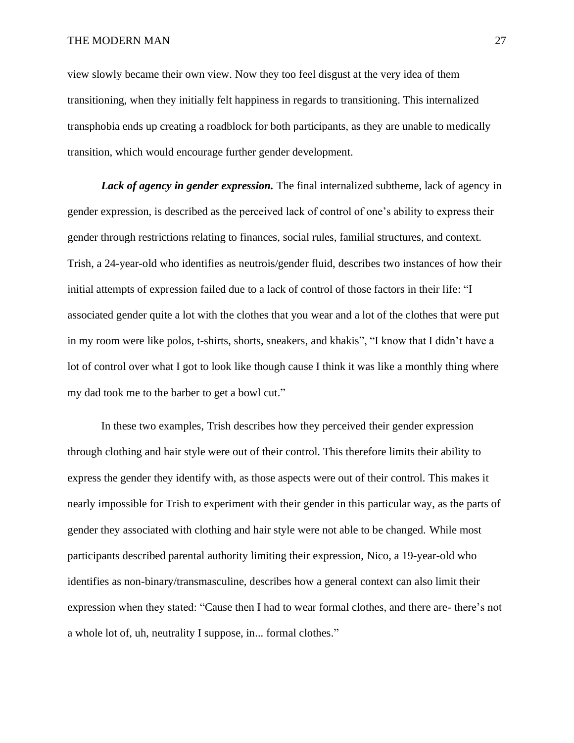view slowly became their own view. Now they too feel disgust at the very idea of them transitioning, when they initially felt happiness in regards to transitioning. This internalized transphobia ends up creating a roadblock for both participants, as they are unable to medically transition, which would encourage further gender development.

*Lack of agency in gender expression*. The final internalized subtheme, lack of agency in gender expression, is described as the perceived lack of control of one's ability to express their gender through restrictions relating to finances, social rules, familial structures, and context. Trish, a 24-year-old who identifies as neutrois/gender fluid, describes two instances of how their initial attempts of expression failed due to a lack of control of those factors in their life: "I associated gender quite a lot with the clothes that you wear and a lot of the clothes that were put in my room were like polos, t-shirts, shorts, sneakers, and khakis", "I know that I didn't have a lot of control over what I got to look like though cause I think it was like a monthly thing where my dad took me to the barber to get a bowl cut."

In these two examples, Trish describes how they perceived their gender expression through clothing and hair style were out of their control. This therefore limits their ability to express the gender they identify with, as those aspects were out of their control. This makes it nearly impossible for Trish to experiment with their gender in this particular way, as the parts of gender they associated with clothing and hair style were not able to be changed. While most participants described parental authority limiting their expression, Nico, a 19-year-old who identifies as non-binary/transmasculine, describes how a general context can also limit their expression when they stated: "Cause then I had to wear formal clothes, and there are- there's not a whole lot of, uh, neutrality I suppose, in... formal clothes."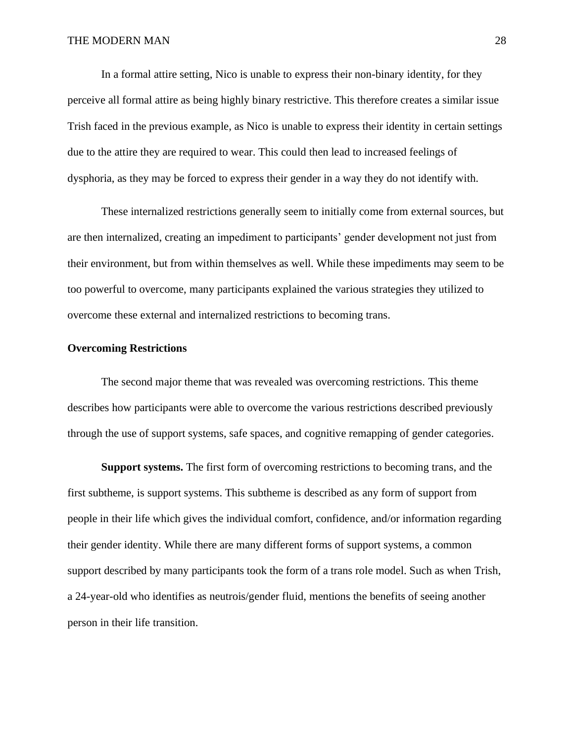In a formal attire setting, Nico is unable to express their non-binary identity, for they perceive all formal attire as being highly binary restrictive. This therefore creates a similar issue Trish faced in the previous example, as Nico is unable to express their identity in certain settings due to the attire they are required to wear. This could then lead to increased feelings of dysphoria, as they may be forced to express their gender in a way they do not identify with.

These internalized restrictions generally seem to initially come from external sources, but are then internalized, creating an impediment to participants' gender development not just from their environment, but from within themselves as well. While these impediments may seem to be too powerful to overcome, many participants explained the various strategies they utilized to overcome these external and internalized restrictions to becoming trans.

## **Overcoming Restrictions**

The second major theme that was revealed was overcoming restrictions. This theme describes how participants were able to overcome the various restrictions described previously through the use of support systems, safe spaces, and cognitive remapping of gender categories.

**Support systems.** The first form of overcoming restrictions to becoming trans, and the first subtheme, is support systems. This subtheme is described as any form of support from people in their life which gives the individual comfort, confidence, and/or information regarding their gender identity. While there are many different forms of support systems, a common support described by many participants took the form of a trans role model. Such as when Trish, a 24-year-old who identifies as neutrois/gender fluid, mentions the benefits of seeing another person in their life transition.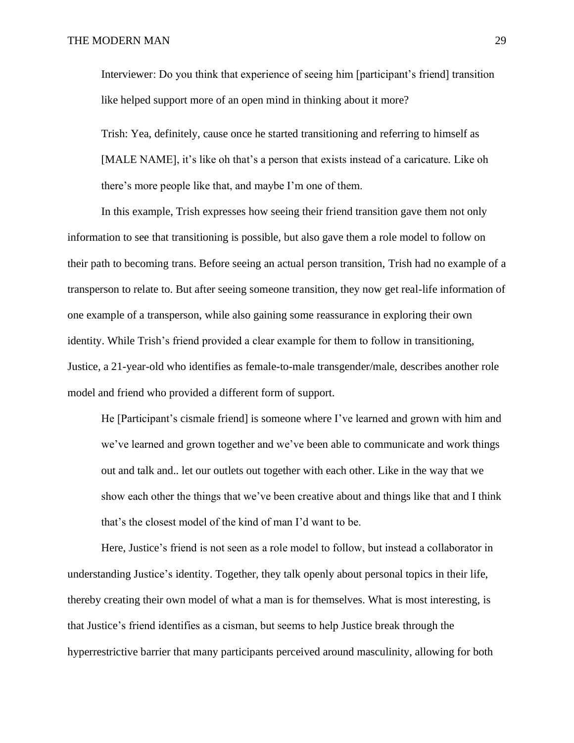Interviewer: Do you think that experience of seeing him [participant's friend] transition like helped support more of an open mind in thinking about it more?

Trish: Yea, definitely, cause once he started transitioning and referring to himself as [MALE NAME], it's like oh that's a person that exists instead of a caricature. Like oh there's more people like that, and maybe I'm one of them.

In this example, Trish expresses how seeing their friend transition gave them not only information to see that transitioning is possible, but also gave them a role model to follow on their path to becoming trans. Before seeing an actual person transition, Trish had no example of a transperson to relate to. But after seeing someone transition, they now get real-life information of one example of a transperson, while also gaining some reassurance in exploring their own identity. While Trish's friend provided a clear example for them to follow in transitioning, Justice, a 21-year-old who identifies as female-to-male transgender/male, describes another role model and friend who provided a different form of support.

He [Participant's cismale friend] is someone where I've learned and grown with him and we've learned and grown together and we've been able to communicate and work things out and talk and.. let our outlets out together with each other. Like in the way that we show each other the things that we've been creative about and things like that and I think that's the closest model of the kind of man I'd want to be.

Here, Justice's friend is not seen as a role model to follow, but instead a collaborator in understanding Justice's identity. Together, they talk openly about personal topics in their life, thereby creating their own model of what a man is for themselves. What is most interesting, is that Justice's friend identifies as a cisman, but seems to help Justice break through the hyperrestrictive barrier that many participants perceived around masculinity, allowing for both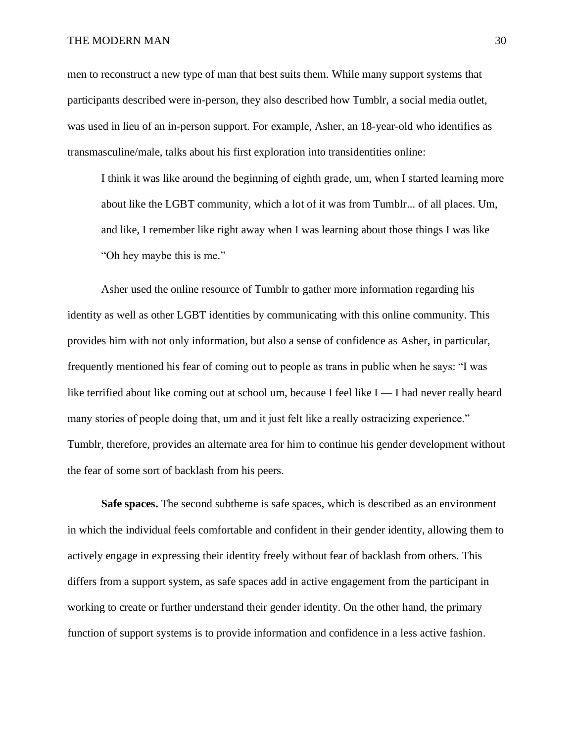men to reconstruct a new type of man that best suits them. While many support systems that participants described were in-person, they also described how Tumblr, a social media outlet, was used in lieu of an in-person support. For example, Asher, an 18-year-old who identifies as transmasculine/male, talks about his first exploration into transidentities online:

I think it was like around the beginning of eighth grade, um, when I started learning more about like the LGBT community, which a lot of it was from Tumblr... of all places. Um, and like, I remember like right away when I was learning about those things I was like "Oh hey maybe this is me."

Asher used the online resource of Tumblr to gather more information regarding his identity as well as other LGBT identities by communicating with this online community. This provides him with not only information, but also a sense of confidence as Asher, in particular, frequently mentioned his fear of coming out to people as trans in public when he says: "I was like terrified about like coming out at school um, because I feel like  $I - I$  had never really heard many stories of people doing that, um and it just felt like a really ostracizing experience." Tumblr, therefore, provides an alternate area for him to continue his gender development without the fear of some sort of backlash from his peers.

**Safe spaces.** The second subtheme is safe spaces, which is described as an environment in which the individual feels comfortable and confident in their gender identity, allowing them to actively engage in expressing their identity freely without fear of backlash from others. This differs from a support system, as safe spaces add in active engagement from the participant in working to create or further understand their gender identity. On the other hand, the primary function of support systems is to provide information and confidence in a less active fashion.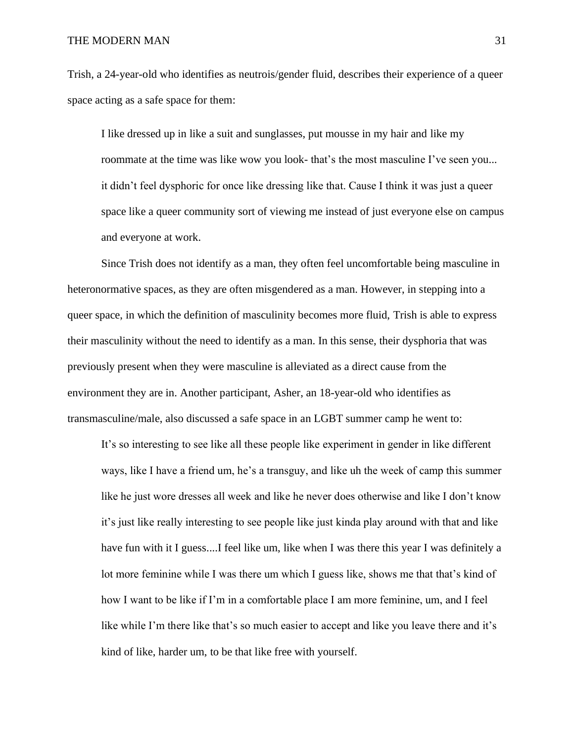Trish, a 24-year-old who identifies as neutrois/gender fluid, describes their experience of a queer space acting as a safe space for them:

I like dressed up in like a suit and sunglasses, put mousse in my hair and like my roommate at the time was like wow you look- that's the most masculine I've seen you... it didn't feel dysphoric for once like dressing like that. Cause I think it was just a queer space like a queer community sort of viewing me instead of just everyone else on campus and everyone at work.

Since Trish does not identify as a man, they often feel uncomfortable being masculine in heteronormative spaces, as they are often misgendered as a man. However, in stepping into a queer space, in which the definition of masculinity becomes more fluid, Trish is able to express their masculinity without the need to identify as a man. In this sense, their dysphoria that was previously present when they were masculine is alleviated as a direct cause from the environment they are in. Another participant, Asher, an 18-year-old who identifies as transmasculine/male, also discussed a safe space in an LGBT summer camp he went to:

It's so interesting to see like all these people like experiment in gender in like different ways, like I have a friend um, he's a transguy, and like uh the week of camp this summer like he just wore dresses all week and like he never does otherwise and like I don't know it's just like really interesting to see people like just kinda play around with that and like have fun with it I guess....I feel like um, like when I was there this year I was definitely a lot more feminine while I was there um which I guess like, shows me that that's kind of how I want to be like if I'm in a comfortable place I am more feminine, um, and I feel like while I'm there like that's so much easier to accept and like you leave there and it's kind of like, harder um, to be that like free with yourself.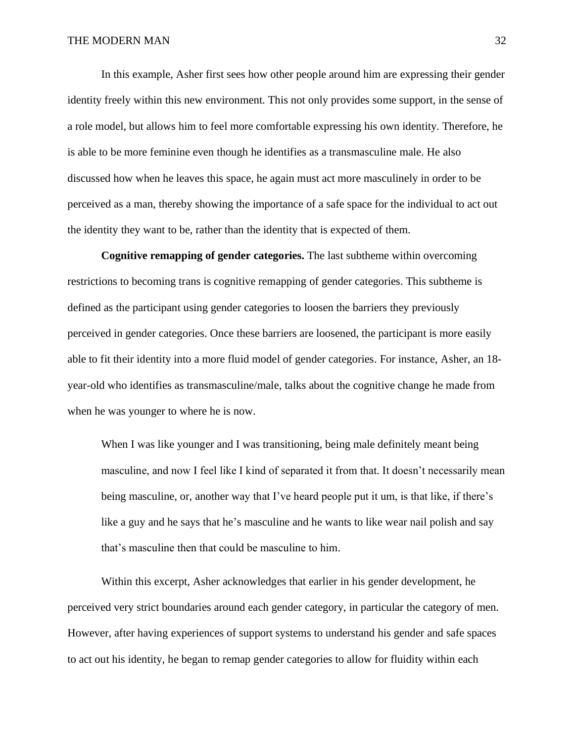In this example, Asher first sees how other people around him are expressing their gender identity freely within this new environment. This not only provides some support, in the sense of a role model, but allows him to feel more comfortable expressing his own identity. Therefore, he is able to be more feminine even though he identifies as a transmasculine male. He also discussed how when he leaves this space, he again must act more masculinely in order to be perceived as a man, thereby showing the importance of a safe space for the individual to act out the identity they want to be, rather than the identity that is expected of them.

**Cognitive remapping of gender categories.** The last subtheme within overcoming restrictions to becoming trans is cognitive remapping of gender categories. This subtheme is defined as the participant using gender categories to loosen the barriers they previously perceived in gender categories. Once these barriers are loosened, the participant is more easily able to fit their identity into a more fluid model of gender categories. For instance, Asher, an 18 year-old who identifies as transmasculine/male, talks about the cognitive change he made from when he was younger to where he is now.

When I was like younger and I was transitioning, being male definitely meant being masculine, and now I feel like I kind of separated it from that. It doesn't necessarily mean being masculine, or, another way that I've heard people put it um, is that like, if there's like a guy and he says that he's masculine and he wants to like wear nail polish and say that's masculine then that could be masculine to him.

Within this excerpt, Asher acknowledges that earlier in his gender development, he perceived very strict boundaries around each gender category, in particular the category of men. However, after having experiences of support systems to understand his gender and safe spaces to act out his identity, he began to remap gender categories to allow for fluidity within each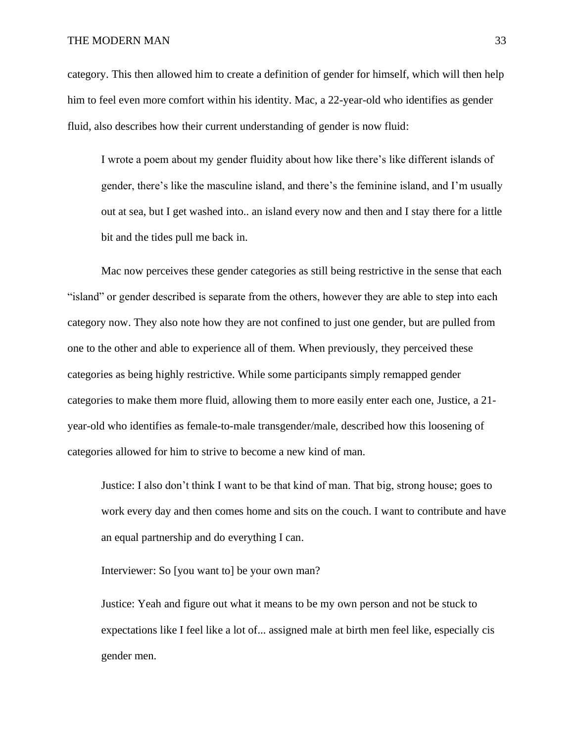category. This then allowed him to create a definition of gender for himself, which will then help him to feel even more comfort within his identity. Mac, a 22-year-old who identifies as gender fluid, also describes how their current understanding of gender is now fluid:

I wrote a poem about my gender fluidity about how like there's like different islands of gender, there's like the masculine island, and there's the feminine island, and I'm usually out at sea, but I get washed into.. an island every now and then and I stay there for a little bit and the tides pull me back in.

Mac now perceives these gender categories as still being restrictive in the sense that each "island" or gender described is separate from the others, however they are able to step into each category now. They also note how they are not confined to just one gender, but are pulled from one to the other and able to experience all of them. When previously, they perceived these categories as being highly restrictive. While some participants simply remapped gender categories to make them more fluid, allowing them to more easily enter each one, Justice, a 21 year-old who identifies as female-to-male transgender/male, described how this loosening of categories allowed for him to strive to become a new kind of man.

Justice: I also don't think I want to be that kind of man. That big, strong house; goes to work every day and then comes home and sits on the couch. I want to contribute and have an equal partnership and do everything I can.

Interviewer: So [you want to] be your own man?

Justice: Yeah and figure out what it means to be my own person and not be stuck to expectations like I feel like a lot of... assigned male at birth men feel like, especially cis gender men.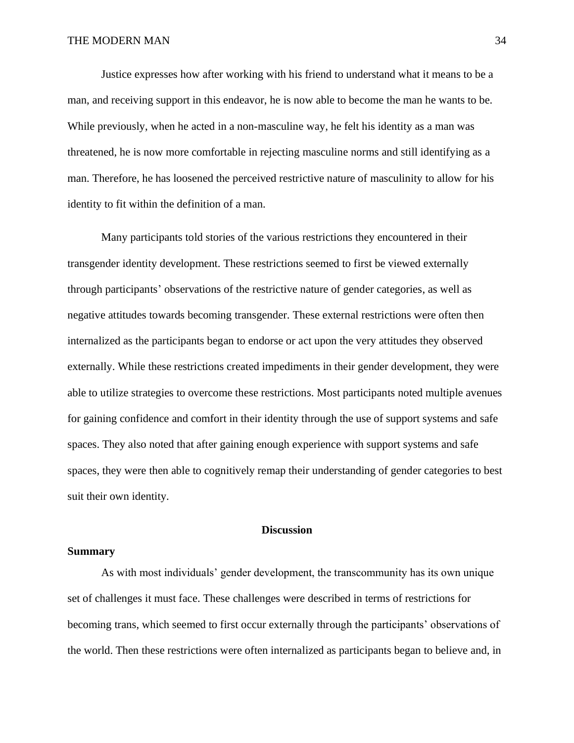Justice expresses how after working with his friend to understand what it means to be a man, and receiving support in this endeavor, he is now able to become the man he wants to be. While previously, when he acted in a non-masculine way, he felt his identity as a man was threatened, he is now more comfortable in rejecting masculine norms and still identifying as a man. Therefore, he has loosened the perceived restrictive nature of masculinity to allow for his identity to fit within the definition of a man.

Many participants told stories of the various restrictions they encountered in their transgender identity development. These restrictions seemed to first be viewed externally through participants' observations of the restrictive nature of gender categories, as well as negative attitudes towards becoming transgender. These external restrictions were often then internalized as the participants began to endorse or act upon the very attitudes they observed externally. While these restrictions created impediments in their gender development, they were able to utilize strategies to overcome these restrictions. Most participants noted multiple avenues for gaining confidence and comfort in their identity through the use of support systems and safe spaces. They also noted that after gaining enough experience with support systems and safe spaces, they were then able to cognitively remap their understanding of gender categories to best suit their own identity.

## **Discussion**

## **Summary**

As with most individuals' gender development, the transcommunity has its own unique set of challenges it must face. These challenges were described in terms of restrictions for becoming trans, which seemed to first occur externally through the participants' observations of the world. Then these restrictions were often internalized as participants began to believe and, in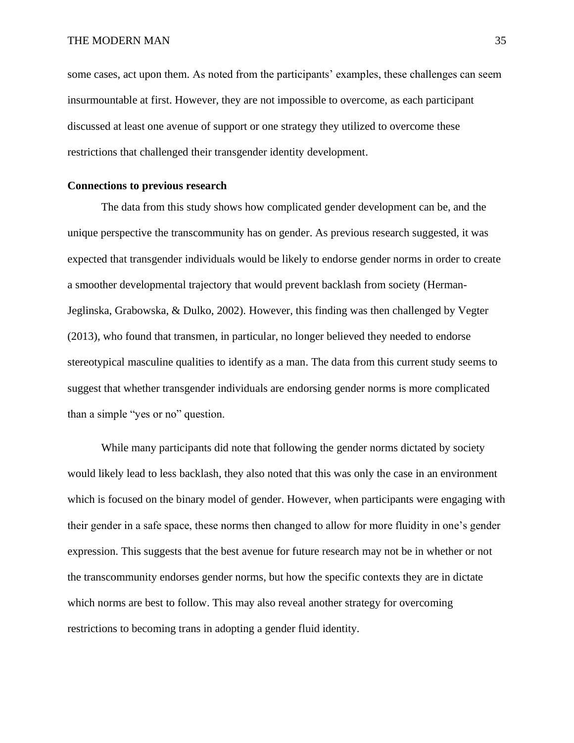some cases, act upon them. As noted from the participants' examples, these challenges can seem insurmountable at first. However, they are not impossible to overcome, as each participant discussed at least one avenue of support or one strategy they utilized to overcome these restrictions that challenged their transgender identity development.

## **Connections to previous research**

The data from this study shows how complicated gender development can be, and the unique perspective the transcommunity has on gender. As previous research suggested, it was expected that transgender individuals would be likely to endorse gender norms in order to create a smoother developmental trajectory that would prevent backlash from society (Herman-Jeglinska, Grabowska, & Dulko, 2002). However, this finding was then challenged by Vegter (2013), who found that transmen, in particular, no longer believed they needed to endorse stereotypical masculine qualities to identify as a man. The data from this current study seems to suggest that whether transgender individuals are endorsing gender norms is more complicated than a simple "yes or no" question.

While many participants did note that following the gender norms dictated by society would likely lead to less backlash, they also noted that this was only the case in an environment which is focused on the binary model of gender. However, when participants were engaging with their gender in a safe space, these norms then changed to allow for more fluidity in one's gender expression. This suggests that the best avenue for future research may not be in whether or not the transcommunity endorses gender norms, but how the specific contexts they are in dictate which norms are best to follow. This may also reveal another strategy for overcoming restrictions to becoming trans in adopting a gender fluid identity.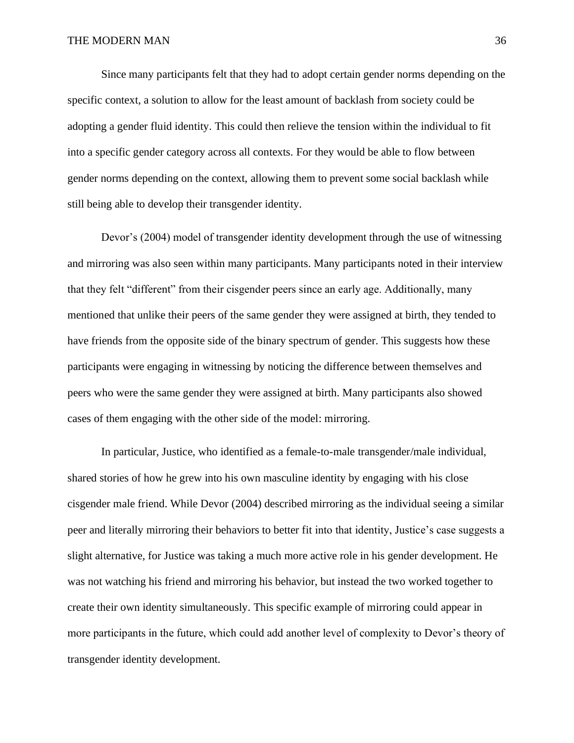Since many participants felt that they had to adopt certain gender norms depending on the specific context, a solution to allow for the least amount of backlash from society could be adopting a gender fluid identity. This could then relieve the tension within the individual to fit into a specific gender category across all contexts. For they would be able to flow between gender norms depending on the context, allowing them to prevent some social backlash while still being able to develop their transgender identity.

Devor's (2004) model of transgender identity development through the use of witnessing and mirroring was also seen within many participants. Many participants noted in their interview that they felt "different" from their cisgender peers since an early age. Additionally, many mentioned that unlike their peers of the same gender they were assigned at birth, they tended to have friends from the opposite side of the binary spectrum of gender. This suggests how these participants were engaging in witnessing by noticing the difference between themselves and peers who were the same gender they were assigned at birth. Many participants also showed cases of them engaging with the other side of the model: mirroring.

In particular, Justice, who identified as a female-to-male transgender/male individual, shared stories of how he grew into his own masculine identity by engaging with his close cisgender male friend. While Devor (2004) described mirroring as the individual seeing a similar peer and literally mirroring their behaviors to better fit into that identity, Justice's case suggests a slight alternative, for Justice was taking a much more active role in his gender development. He was not watching his friend and mirroring his behavior, but instead the two worked together to create their own identity simultaneously. This specific example of mirroring could appear in more participants in the future, which could add another level of complexity to Devor's theory of transgender identity development.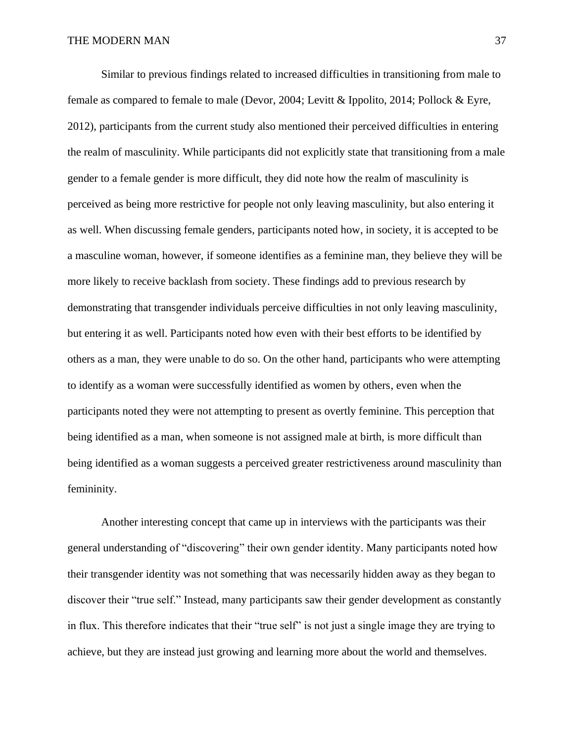Similar to previous findings related to increased difficulties in transitioning from male to female as compared to female to male (Devor, 2004; Levitt & Ippolito, 2014; Pollock & Eyre, 2012), participants from the current study also mentioned their perceived difficulties in entering the realm of masculinity. While participants did not explicitly state that transitioning from a male gender to a female gender is more difficult, they did note how the realm of masculinity is perceived as being more restrictive for people not only leaving masculinity, but also entering it as well. When discussing female genders, participants noted how, in society, it is accepted to be a masculine woman, however, if someone identifies as a feminine man, they believe they will be more likely to receive backlash from society. These findings add to previous research by demonstrating that transgender individuals perceive difficulties in not only leaving masculinity, but entering it as well. Participants noted how even with their best efforts to be identified by others as a man, they were unable to do so. On the other hand, participants who were attempting to identify as a woman were successfully identified as women by others, even when the participants noted they were not attempting to present as overtly feminine. This perception that being identified as a man, when someone is not assigned male at birth, is more difficult than being identified as a woman suggests a perceived greater restrictiveness around masculinity than femininity.

Another interesting concept that came up in interviews with the participants was their general understanding of "discovering" their own gender identity. Many participants noted how their transgender identity was not something that was necessarily hidden away as they began to discover their "true self." Instead, many participants saw their gender development as constantly in flux. This therefore indicates that their "true self" is not just a single image they are trying to achieve, but they are instead just growing and learning more about the world and themselves.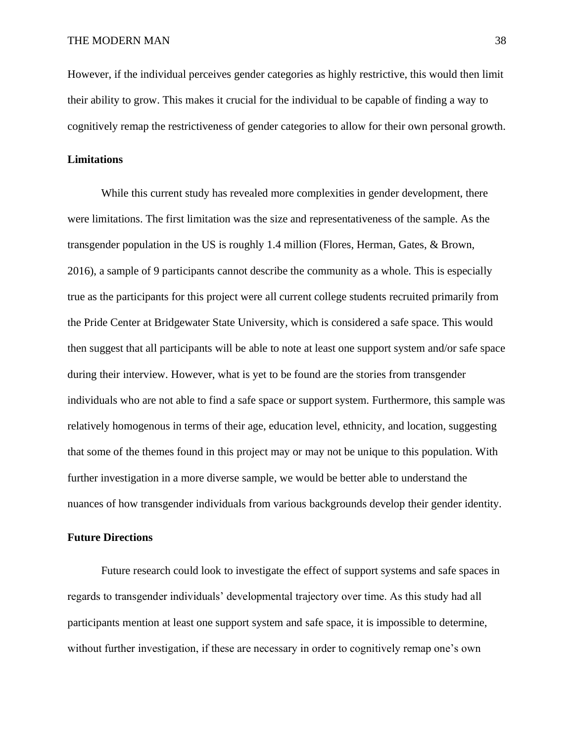However, if the individual perceives gender categories as highly restrictive, this would then limit their ability to grow. This makes it crucial for the individual to be capable of finding a way to cognitively remap the restrictiveness of gender categories to allow for their own personal growth.

## **Limitations**

While this current study has revealed more complexities in gender development, there were limitations. The first limitation was the size and representativeness of the sample. As the transgender population in the US is roughly 1.4 million (Flores, Herman, Gates, & Brown, 2016), a sample of 9 participants cannot describe the community as a whole. This is especially true as the participants for this project were all current college students recruited primarily from the Pride Center at Bridgewater State University, which is considered a safe space. This would then suggest that all participants will be able to note at least one support system and/or safe space during their interview. However, what is yet to be found are the stories from transgender individuals who are not able to find a safe space or support system. Furthermore, this sample was relatively homogenous in terms of their age, education level, ethnicity, and location, suggesting that some of the themes found in this project may or may not be unique to this population. With further investigation in a more diverse sample, we would be better able to understand the nuances of how transgender individuals from various backgrounds develop their gender identity.

## **Future Directions**

Future research could look to investigate the effect of support systems and safe spaces in regards to transgender individuals' developmental trajectory over time. As this study had all participants mention at least one support system and safe space, it is impossible to determine, without further investigation, if these are necessary in order to cognitively remap one's own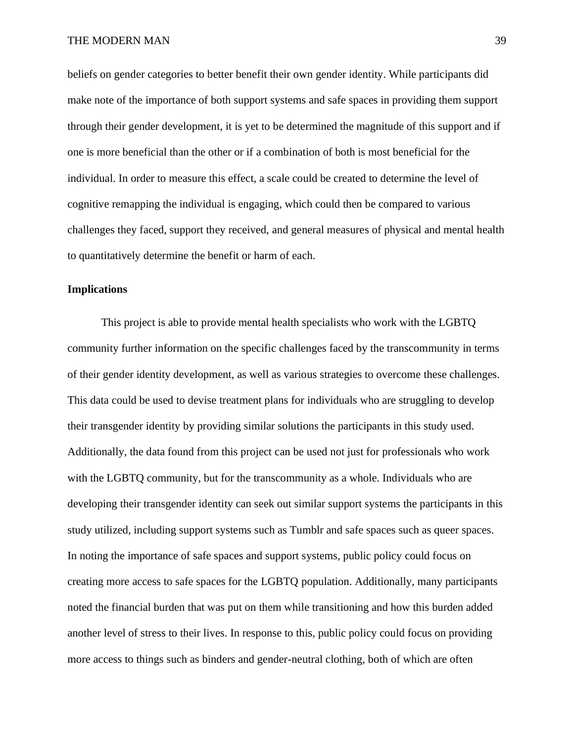beliefs on gender categories to better benefit their own gender identity. While participants did make note of the importance of both support systems and safe spaces in providing them support through their gender development, it is yet to be determined the magnitude of this support and if one is more beneficial than the other or if a combination of both is most beneficial for the individual. In order to measure this effect, a scale could be created to determine the level of cognitive remapping the individual is engaging, which could then be compared to various challenges they faced, support they received, and general measures of physical and mental health to quantitatively determine the benefit or harm of each.

## **Implications**

This project is able to provide mental health specialists who work with the LGBTQ community further information on the specific challenges faced by the transcommunity in terms of their gender identity development, as well as various strategies to overcome these challenges. This data could be used to devise treatment plans for individuals who are struggling to develop their transgender identity by providing similar solutions the participants in this study used. Additionally, the data found from this project can be used not just for professionals who work with the LGBTQ community, but for the transcommunity as a whole. Individuals who are developing their transgender identity can seek out similar support systems the participants in this study utilized, including support systems such as Tumblr and safe spaces such as queer spaces. In noting the importance of safe spaces and support systems, public policy could focus on creating more access to safe spaces for the LGBTQ population. Additionally, many participants noted the financial burden that was put on them while transitioning and how this burden added another level of stress to their lives. In response to this, public policy could focus on providing more access to things such as binders and gender-neutral clothing, both of which are often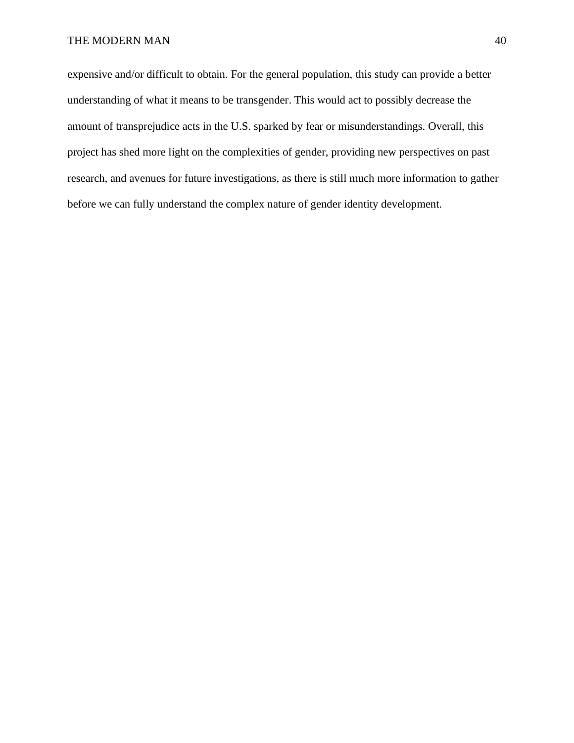expensive and/or difficult to obtain. For the general population, this study can provide a better understanding of what it means to be transgender. This would act to possibly decrease the amount of transprejudice acts in the U.S. sparked by fear or misunderstandings. Overall, this project has shed more light on the complexities of gender, providing new perspectives on past research, and avenues for future investigations, as there is still much more information to gather before we can fully understand the complex nature of gender identity development.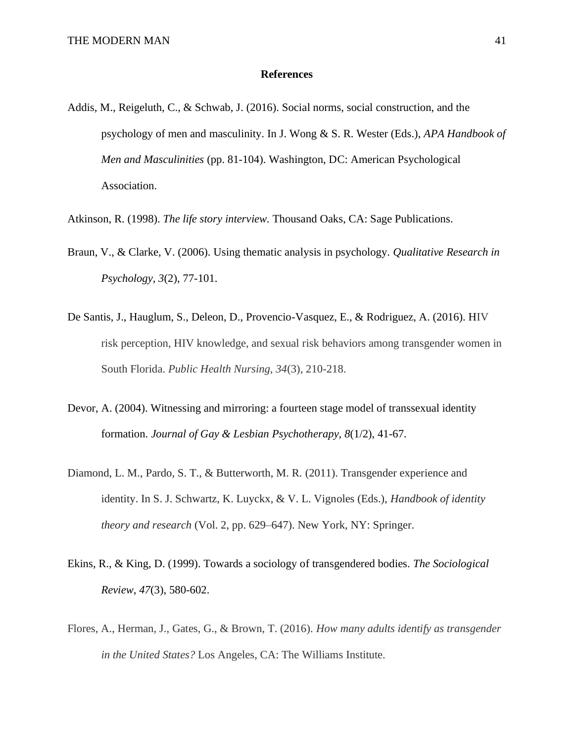## **References**

- Addis, M., Reigeluth, C., & Schwab, J. (2016). Social norms, social construction, and the psychology of men and masculinity. In J. Wong & S. R. Wester (Eds.), *APA Handbook of Men and Masculinities* (pp. 81-104). Washington, DC: American Psychological Association.
- Atkinson, R. (1998). *The life story interview.* Thousand Oaks, CA: Sage Publications.
- Braun, V., & Clarke, V. (2006). Using thematic analysis in psychology. *Qualitative Research in Psychology, 3*(2), 77-101.
- De Santis, J., Hauglum, S., Deleon, D., Provencio-Vasquez, E., & Rodriguez, A. (2016). HIV risk perception, HIV knowledge, and sexual risk behaviors among transgender women in South Florida. *Public Health Nursing, 34*(3), 210-218.
- Devor, A. (2004). Witnessing and mirroring: a fourteen stage model of transsexual identity formation. *Journal of Gay & Lesbian Psychotherapy, 8*(1/2), 41-67.
- Diamond, L. M., Pardo, S. T., & Butterworth, M. R. (2011). Transgender experience and identity. In S. J. Schwartz, K. Luyckx, & V. L. Vignoles (Eds.), *Handbook of identity theory and research* (Vol. 2, pp. 629–647). New York, NY: Springer.
- Ekins, R., & King, D. (1999). Towards a sociology of transgendered bodies. *The Sociological Review*, *47*(3), 580-602.
- Flores, A., Herman, J., Gates, G., & Brown, T. (2016). *How many adults identify as transgender in the United States?* Los Angeles, CA: The Williams Institute.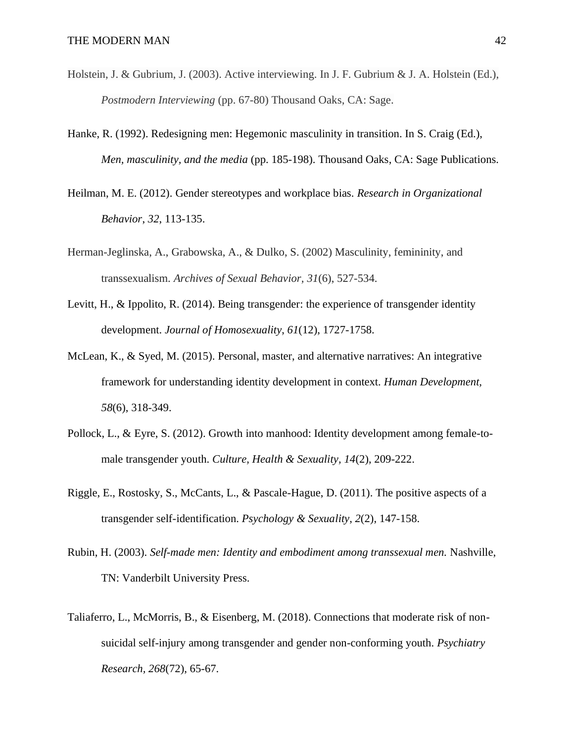- Holstein, J. & Gubrium, J. (2003). Active interviewing. In J. F. Gubrium & J. A. Holstein (Ed.), *Postmodern Interviewing* (pp. 67-80) Thousand Oaks, CA: Sage.
- Hanke, R. (1992). Redesigning men: Hegemonic masculinity in transition. In S. Craig (Ed.), *Men, masculinity, and the media* (pp. 185-198). Thousand Oaks, CA: Sage Publications*.*
- Heilman, M. E. (2012). Gender stereotypes and workplace bias. *Research in Organizational Behavior*, *32*, 113-135.
- Herman-Jeglinska, A., Grabowska, A., & Dulko, S. (2002) Masculinity, femininity, and transsexualism. *Archives of Sexual Behavior, 31*(6), 527-534.
- Levitt, H., & Ippolito, R. (2014). Being transgender: the experience of transgender identity development. *Journal of Homosexuality*, *61*(12), 1727-1758.
- McLean, K., & Syed, M. (2015). Personal, master, and alternative narratives: An integrative framework for understanding identity development in context. *Human Development, 58*(6), 318-349.
- Pollock, L., & Eyre, S. (2012). Growth into manhood: Identity development among female-tomale transgender youth. *Culture, Health & Sexuality, 14*(2), 209-222.
- Riggle, E., Rostosky, S., McCants, L., & Pascale-Hague, D. (2011). The positive aspects of a transgender self-identification. *Psychology & Sexuality*, *2*(2), 147-158.
- Rubin, H. (2003). *Self-made men: Identity and embodiment among transsexual men.* Nashville, TN: Vanderbilt University Press.
- Taliaferro, L., McMorris, B., & Eisenberg, M. (2018). Connections that moderate risk of nonsuicidal self-injury among transgender and gender non-conforming youth. *Psychiatry Research, 268*(72), 65-67.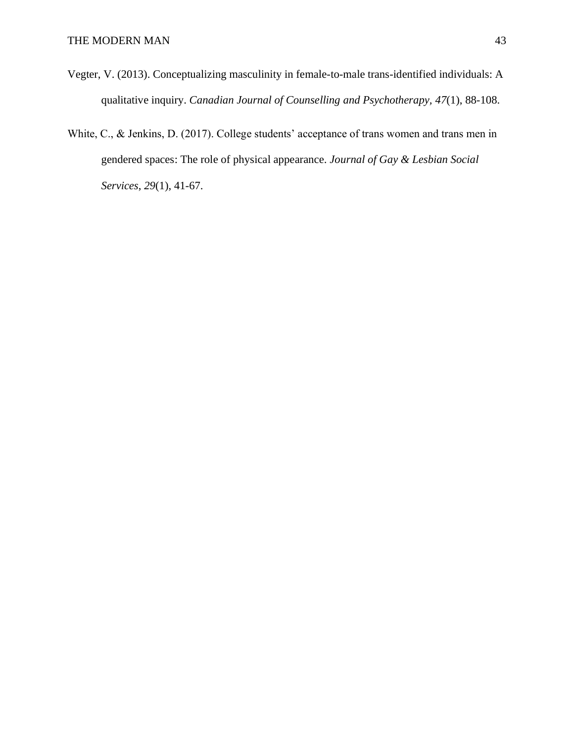- Vegter, V. (2013). Conceptualizing masculinity in female-to-male trans-identified individuals: A qualitative inquiry. *Canadian Journal of Counselling and Psychotherapy, 47*(1), 88-108.
- White, C., & Jenkins, D. (2017). College students' acceptance of trans women and trans men in gendered spaces: The role of physical appearance. *Journal of Gay & Lesbian Social Services*, *29*(1), 41-67.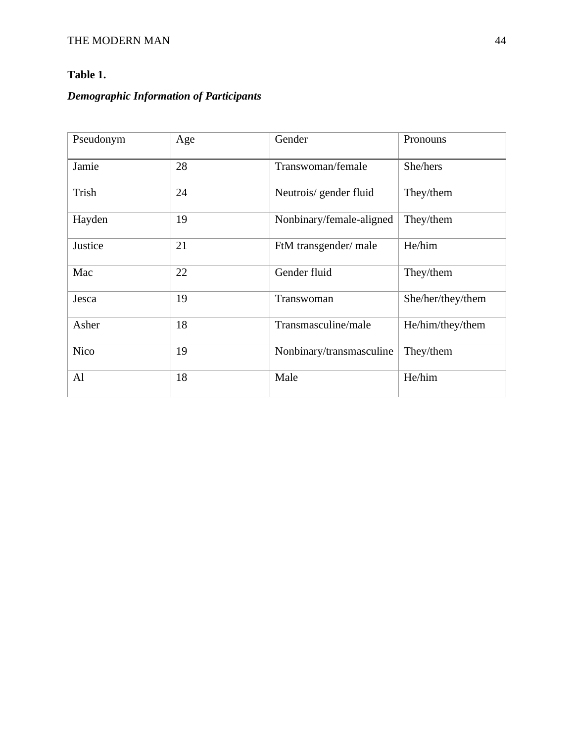# **Table 1.**

# *Demographic Information of Participants*

| Pseudonym   | Age | Gender                   | Pronouns          |
|-------------|-----|--------------------------|-------------------|
| Jamie       | 28  | Transwoman/female        | She/hers          |
| Trish       | 24  | Neutrois/gender fluid    | They/them         |
| Hayden      | 19  | Nonbinary/female-aligned | They/them         |
| Justice     | 21  | FtM transgender/ male    | He/him            |
| Mac         | 22  | Gender fluid             | They/them         |
| Jesca       | 19  | Transwoman               | She/her/they/them |
| Asher       | 18  | Transmasculine/male      | He/him/they/them  |
| <b>Nico</b> | 19  | Nonbinary/transmasculine | They/them         |
| Al          | 18  | Male                     | He/him            |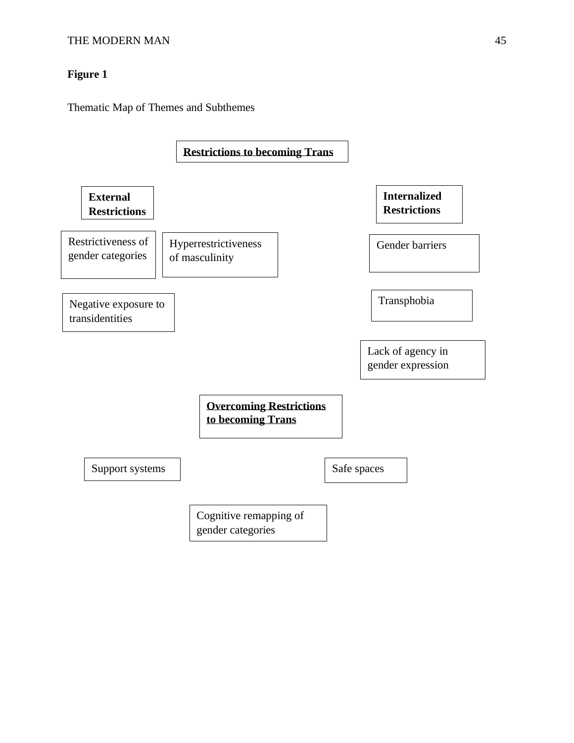# **Figure 1**

Thematic Map of Themes and Subthemes

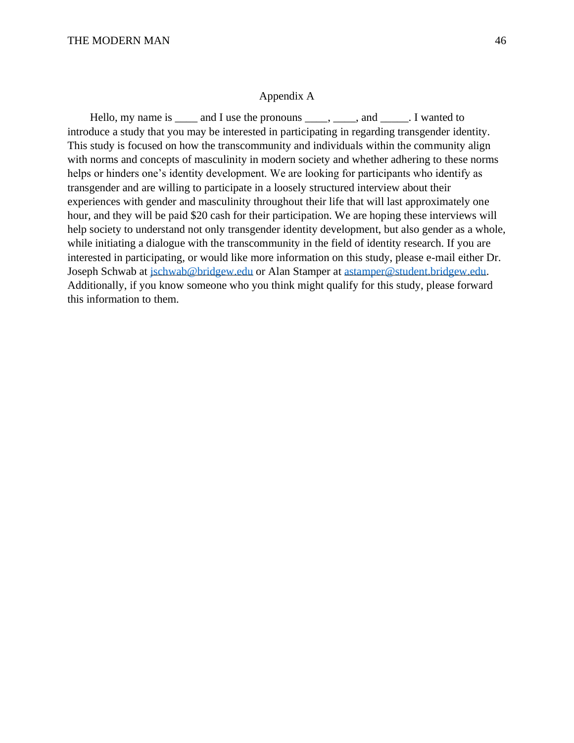## Appendix A

Hello, my name is \_\_\_\_\_ and I use the pronouns \_\_\_\_\_, \_\_\_\_, and \_\_\_\_\_. I wanted to introduce a study that you may be interested in participating in regarding transgender identity. This study is focused on how the transcommunity and individuals within the community align with norms and concepts of masculinity in modern society and whether adhering to these norms helps or hinders one's identity development. We are looking for participants who identify as transgender and are willing to participate in a loosely structured interview about their experiences with gender and masculinity throughout their life that will last approximately one hour, and they will be paid \$20 cash for their participation. We are hoping these interviews will help society to understand not only transgender identity development, but also gender as a whole, while initiating a dialogue with the transcommunity in the field of identity research. If you are interested in participating, or would like more information on this study, please e-mail either Dr. Joseph Schwab at [jschwab@bridgew.edu](mailto:jschwab@bridgew.edu) or Alan Stamper at [astamper@student.bridgew.edu.](mailto:astamper@student.bridgew.edu) Additionally, if you know someone who you think might qualify for this study, please forward this information to them.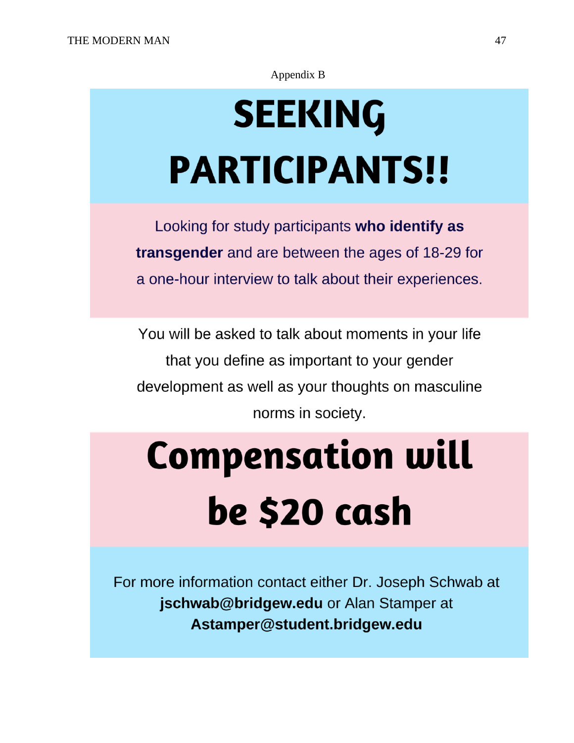# Appendix B

# **SEEKING PARTICIPANTS!!**

Looking for study participants who identify as transgender and are between the ages of 18-29 for a one-hour interview to talk about their experiences.

You will be asked to talk about moments in your life that you define as important to your gender development as well as your thoughts on masculine norms in society.

# **Compensation will** be \$20 cash

For more information contact either Dr. Joseph Schwab at jschwab@bridgew.edu or Alan Stamper at Astamper@student.bridgew.edu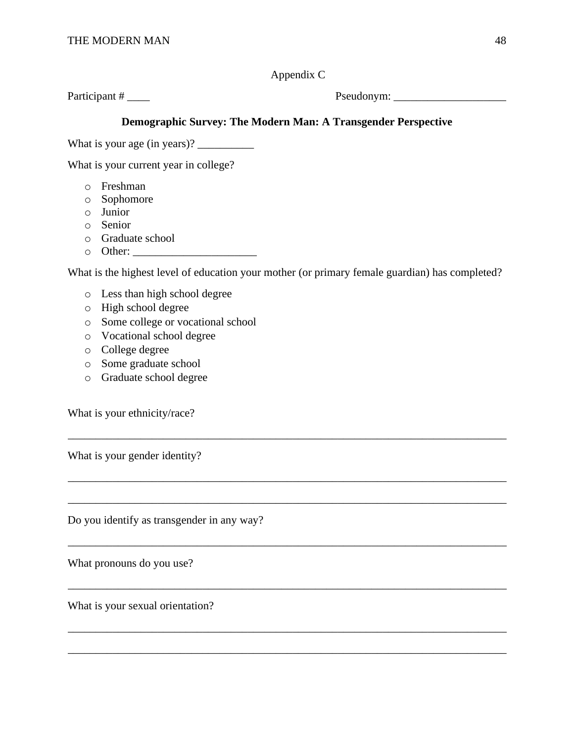Appendix C

Participant # \_\_\_\_ Pseudonym: \_\_\_\_\_\_\_\_\_\_\_\_\_\_\_\_\_\_\_\_ Participant # \_\_\_\_ Pseudonym: \_\_\_\_\_\_\_\_\_\_\_\_\_\_\_\_\_\_\_\_

# **Demographic Survey: The Modern Man: A Transgender Perspective**

What is your age (in years)? \_\_\_\_\_\_\_\_\_\_

What is your current year in college?

- <sup>o</sup> Freshman
- <sup>o</sup> Sophomore
- <sup>o</sup> Junior
- <sup>o</sup> Senior
- <sup>o</sup> Graduate school
- <sup>o</sup> Other: \_\_\_\_\_\_\_\_\_\_\_\_\_\_\_\_\_\_\_\_\_\_

What is the highest level of education your mother (or primary female guardian) has completed?

\_\_\_\_\_\_\_\_\_\_\_\_\_\_\_\_\_\_\_\_\_\_\_\_\_\_\_\_\_\_\_\_\_\_\_\_\_\_\_\_\_\_\_\_\_\_\_\_\_\_\_\_\_\_\_\_\_\_\_\_\_\_\_\_\_\_\_\_\_\_\_\_\_\_\_\_\_\_

\_\_\_\_\_\_\_\_\_\_\_\_\_\_\_\_\_\_\_\_\_\_\_\_\_\_\_\_\_\_\_\_\_\_\_\_\_\_\_\_\_\_\_\_\_\_\_\_\_\_\_\_\_\_\_\_\_\_\_\_\_\_\_\_\_\_\_\_\_\_\_\_\_\_\_\_\_\_

- <sup>o</sup> Less than high school degree
- <sup>o</sup> High school degree
- <sup>o</sup> Some college or vocational school
- <sup>o</sup> Vocational school degree
- <sup>o</sup> College degree
- <sup>o</sup> Some graduate school
- <sup>o</sup> Graduate school degree

What is your ethnicity/race?

What is your gender identity?

Do you identify as transgender in any way?

What pronouns do you use?

What is your sexual orientation?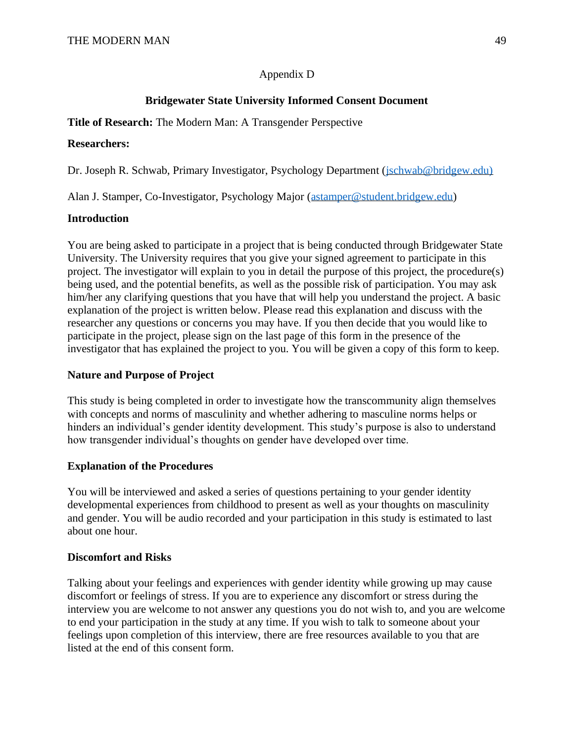# Appendix D

# **Bridgewater State University Informed Consent Document**

# **Title of Research:** The Modern Man: A Transgender Perspective

## **Researchers:**

Dr. Joseph R. Schwab, Primary Investigator, Psychology Department [\(jschwab@bridgew.edu\)](mailto:jschwab@bridgew.edu))

Alan J. Stamper, Co-Investigator, Psychology Major [\(astamper@student.bridgew.edu\)](mailto:astamper@student.bridgew.edu)

## **Introduction**

You are being asked to participate in a project that is being conducted through Bridgewater State University. The University requires that you give your signed agreement to participate in this project. The investigator will explain to you in detail the purpose of this project, the procedure(s) being used, and the potential benefits, as well as the possible risk of participation. You may ask him/her any clarifying questions that you have that will help you understand the project. A basic explanation of the project is written below. Please read this explanation and discuss with the researcher any questions or concerns you may have. If you then decide that you would like to participate in the project, please sign on the last page of this form in the presence of the investigator that has explained the project to you. You will be given a copy of this form to keep.

# **Nature and Purpose of Project**

This study is being completed in order to investigate how the transcommunity align themselves with concepts and norms of masculinity and whether adhering to masculine norms helps or hinders an individual's gender identity development. This study's purpose is also to understand how transgender individual's thoughts on gender have developed over time.

# **Explanation of the Procedures**

You will be interviewed and asked a series of questions pertaining to your gender identity developmental experiences from childhood to present as well as your thoughts on masculinity and gender. You will be audio recorded and your participation in this study is estimated to last about one hour.

# **Discomfort and Risks**

Talking about your feelings and experiences with gender identity while growing up may cause discomfort or feelings of stress. If you are to experience any discomfort or stress during the interview you are welcome to not answer any questions you do not wish to, and you are welcome to end your participation in the study at any time. If you wish to talk to someone about your feelings upon completion of this interview, there are free resources available to you that are listed at the end of this consent form.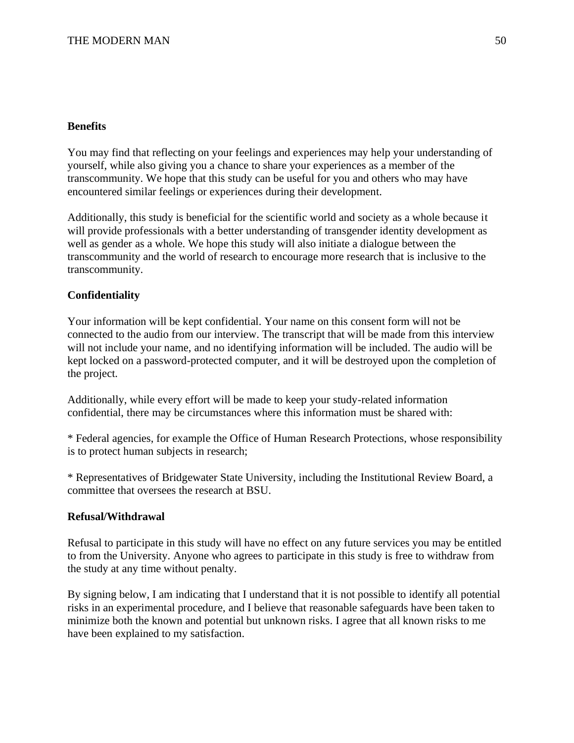## **Benefits**

You may find that reflecting on your feelings and experiences may help your understanding of yourself, while also giving you a chance to share your experiences as a member of the transcommunity. We hope that this study can be useful for you and others who may have encountered similar feelings or experiences during their development.

Additionally, this study is beneficial for the scientific world and society as a whole because it will provide professionals with a better understanding of transgender identity development as well as gender as a whole. We hope this study will also initiate a dialogue between the transcommunity and the world of research to encourage more research that is inclusive to the transcommunity.

## **Confidentiality**

Your information will be kept confidential. Your name on this consent form will not be connected to the audio from our interview. The transcript that will be made from this interview will not include your name, and no identifying information will be included. The audio will be kept locked on a password-protected computer, and it will be destroyed upon the completion of the project.

Additionally, while every effort will be made to keep your study-related information confidential, there may be circumstances where this information must be shared with:

\* Federal agencies, for example the Office of Human Research Protections, whose responsibility is to protect human subjects in research;

\* Representatives of Bridgewater State University, including the Institutional Review Board, a committee that oversees the research at BSU.

## **Refusal/Withdrawal**

Refusal to participate in this study will have no effect on any future services you may be entitled to from the University. Anyone who agrees to participate in this study is free to withdraw from the study at any time without penalty.

By signing below, I am indicating that I understand that it is not possible to identify all potential risks in an experimental procedure, and I believe that reasonable safeguards have been taken to minimize both the known and potential but unknown risks. I agree that all known risks to me have been explained to my satisfaction.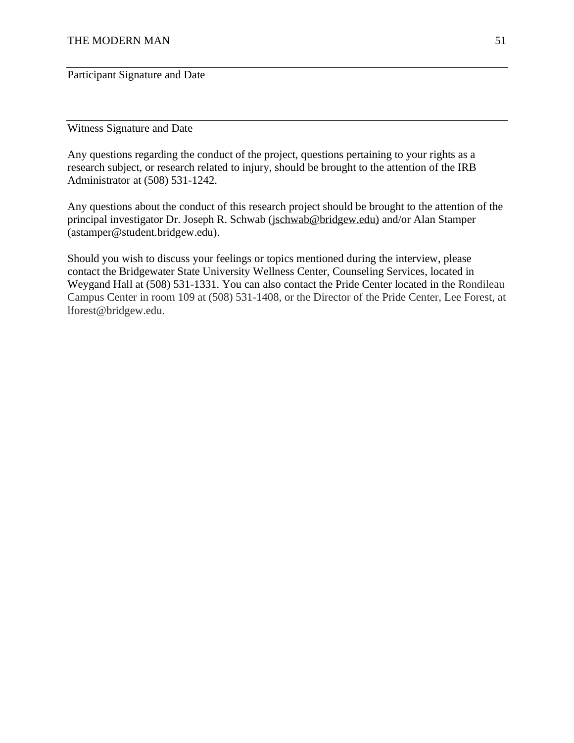Participant Signature and Date

Witness Signature and Date

Any questions regarding the conduct of the project, questions pertaining to your rights as a research subject, or research related to injury, should be brought to the attention of the IRB Administrator at (508) 531-1242.

Any questions about the conduct of this research project should be brought to the attention of the principal investigator Dr. Joseph R. Schwab (jschwab@bridgew.edu) and/or Alan Stamper (astamper@student.bridgew.edu).

Should you wish to discuss your feelings or topics mentioned during the interview, please contact the Bridgewater State University Wellness Center, Counseling Services, located in Weygand Hall at (508) 531-1331. You can also contact the Pride Center located in the Rondileau Campus Center in room 109 at (508) 531-1408, or the Director of the Pride Center, Lee Forest, at lforest@bridgew.edu.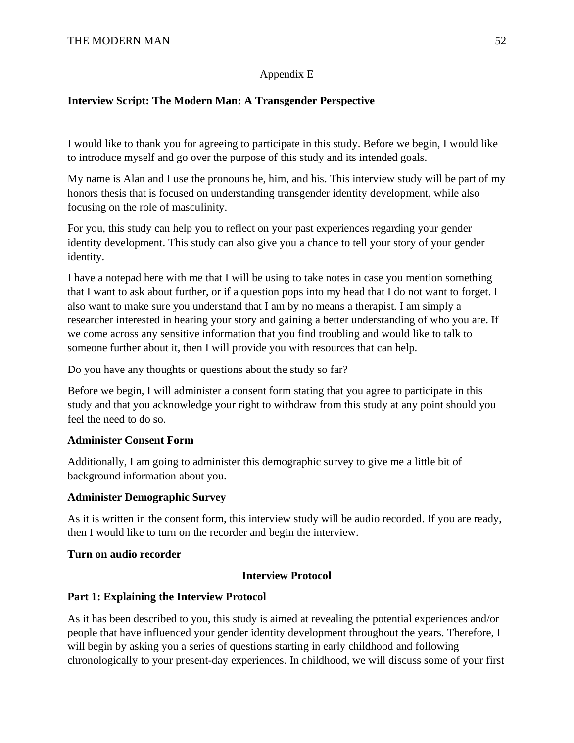# Appendix E

# **Interview Script: The Modern Man: A Transgender Perspective**

I would like to thank you for agreeing to participate in this study. Before we begin, I would like to introduce myself and go over the purpose of this study and its intended goals.

My name is Alan and I use the pronouns he, him, and his. This interview study will be part of my honors thesis that is focused on understanding transgender identity development, while also focusing on the role of masculinity.

For you, this study can help you to reflect on your past experiences regarding your gender identity development. This study can also give you a chance to tell your story of your gender identity.

I have a notepad here with me that I will be using to take notes in case you mention something that I want to ask about further, or if a question pops into my head that I do not want to forget. I also want to make sure you understand that I am by no means a therapist. I am simply a researcher interested in hearing your story and gaining a better understanding of who you are. If we come across any sensitive information that you find troubling and would like to talk to someone further about it, then I will provide you with resources that can help.

Do you have any thoughts or questions about the study so far?

Before we begin, I will administer a consent form stating that you agree to participate in this study and that you acknowledge your right to withdraw from this study at any point should you feel the need to do so.

# **Administer Consent Form**

Additionally, I am going to administer this demographic survey to give me a little bit of background information about you.

## **Administer Demographic Survey**

As it is written in the consent form, this interview study will be audio recorded. If you are ready, then I would like to turn on the recorder and begin the interview.

## **Turn on audio recorder**

# **Interview Protocol**

## **Part 1: Explaining the Interview Protocol**

As it has been described to you, this study is aimed at revealing the potential experiences and/or people that have influenced your gender identity development throughout the years. Therefore, I will begin by asking you a series of questions starting in early childhood and following chronologically to your present-day experiences. In childhood, we will discuss some of your first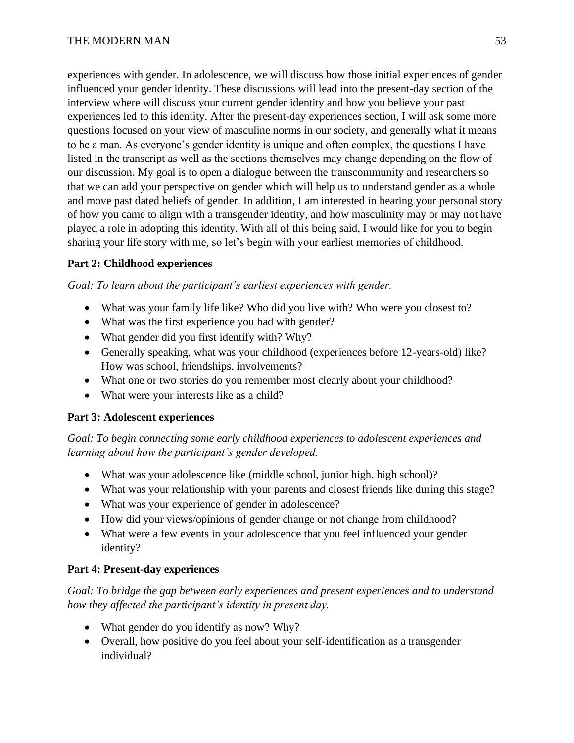experiences with gender. In adolescence, we will discuss how those initial experiences of gender influenced your gender identity. These discussions will lead into the present-day section of the interview where will discuss your current gender identity and how you believe your past experiences led to this identity. After the present-day experiences section, I will ask some more questions focused on your view of masculine norms in our society, and generally what it means to be a man. As everyone's gender identity is unique and often complex, the questions I have listed in the transcript as well as the sections themselves may change depending on the flow of our discussion. My goal is to open a dialogue between the transcommunity and researchers so that we can add your perspective on gender which will help us to understand gender as a whole and move past dated beliefs of gender. In addition, I am interested in hearing your personal story of how you came to align with a transgender identity, and how masculinity may or may not have played a role in adopting this identity. With all of this being said, I would like for you to begin sharing your life story with me, so let's begin with your earliest memories of childhood.

# **Part 2: Childhood experiences**

*Goal: To learn about the participant's earliest experiences with gender.*

- What was your family life like? Who did you live with? Who were you closest to?
- What was the first experience you had with gender?
- What gender did you first identify with? Why?
- Generally speaking, what was your childhood (experiences before 12-years-old) like? How was school, friendships, involvements?
- What one or two stories do you remember most clearly about your childhood?
- What were your interests like as a child?

# **Part 3: Adolescent experiences**

*Goal: To begin connecting some early childhood experiences to adolescent experiences and learning about how the participant's gender developed.*

- What was your adolescence like (middle school, junior high, high school)?
- What was your relationship with your parents and closest friends like during this stage?
- What was your experience of gender in adolescence?
- How did your views/opinions of gender change or not change from childhood?
- What were a few events in your adolescence that you feel influenced your gender identity?

# **Part 4: Present-day experiences**

*Goal: To bridge the gap between early experiences and present experiences and to understand how they affected the participant's identity in present day.* 

- What gender do you identify as now? Why?
- Overall, how positive do you feel about your self-identification as a transgender individual?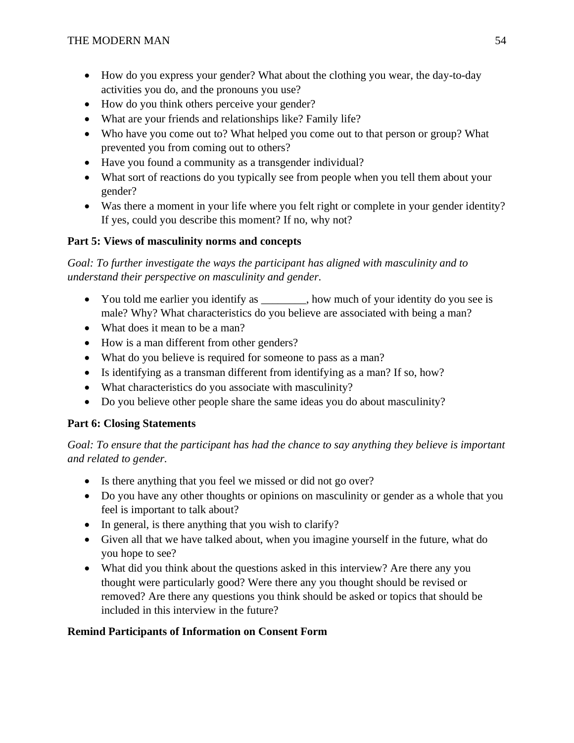- How do you express your gender? What about the clothing you wear, the day-to-day activities you do, and the pronouns you use?
- How do you think others perceive your gender?
- What are your friends and relationships like? Family life?
- Who have you come out to? What helped you come out to that person or group? What prevented you from coming out to others?
- Have you found a community as a transgender individual?
- What sort of reactions do you typically see from people when you tell them about your gender?
- Was there a moment in your life where you felt right or complete in your gender identity? If yes, could you describe this moment? If no, why not?

# **Part 5: Views of masculinity norms and concepts**

*Goal: To further investigate the ways the participant has aligned with masculinity and to understand their perspective on masculinity and gender.*

- You told me earlier you identify as  $\bullet$ , how much of your identity do you see is male? Why? What characteristics do you believe are associated with being a man?
- What does it mean to be a man?
- How is a man different from other genders?
- What do you believe is required for someone to pass as a man?
- Is identifying as a transman different from identifying as a man? If so, how?
- What characteristics do you associate with masculinity?
- Do you believe other people share the same ideas you do about masculinity?

# **Part 6: Closing Statements**

*Goal: To ensure that the participant has had the chance to say anything they believe is important and related to gender.*

- Is there anything that you feel we missed or did not go over?
- Do you have any other thoughts or opinions on masculinity or gender as a whole that you feel is important to talk about?
- In general, is there anything that you wish to clarify?
- Given all that we have talked about, when you imagine yourself in the future, what do you hope to see?
- What did you think about the questions asked in this interview? Are there any you thought were particularly good? Were there any you thought should be revised or removed? Are there any questions you think should be asked or topics that should be included in this interview in the future?

# **Remind Participants of Information on Consent Form**